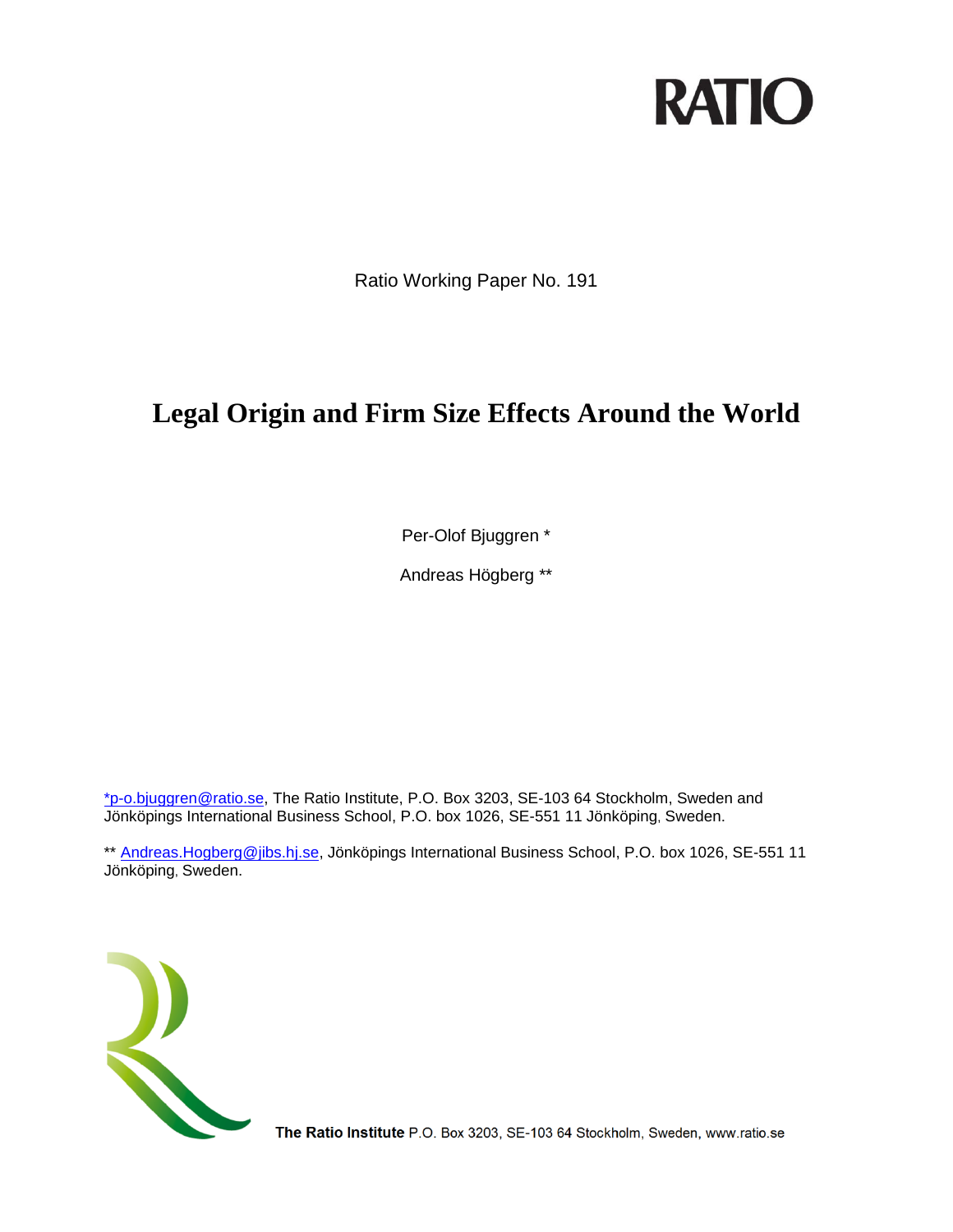# **RATIO**

Ratio Working Paper No. 191

# **Legal Origin and Firm Size Effects Around the World**

Per-Olof Bjuggren \*

Andreas Högberg \*\*

[\\*p-o.bjuggren@ratio.se,](mailto:*p-o.bjuggren@ratio.se) The Ratio Institute, P.O. Box 3203, SE-103 64 Stockholm, Sweden and Jönköpings International Business School, P.O. box 1026, SE-551 11 Jönköping, Sweden.

\*\* [Andreas.Hogberg@jibs.hj.se,](mailto:Andreas.Hogberg@jibs.hj.se) Jönköpings International Business School, P.O. box 1026, SE-551 11 Jönköping, Sweden.



The Ratio Institute P.O. Box 3203, SE-103 64 Stockholm, Sweden, www.ratio.se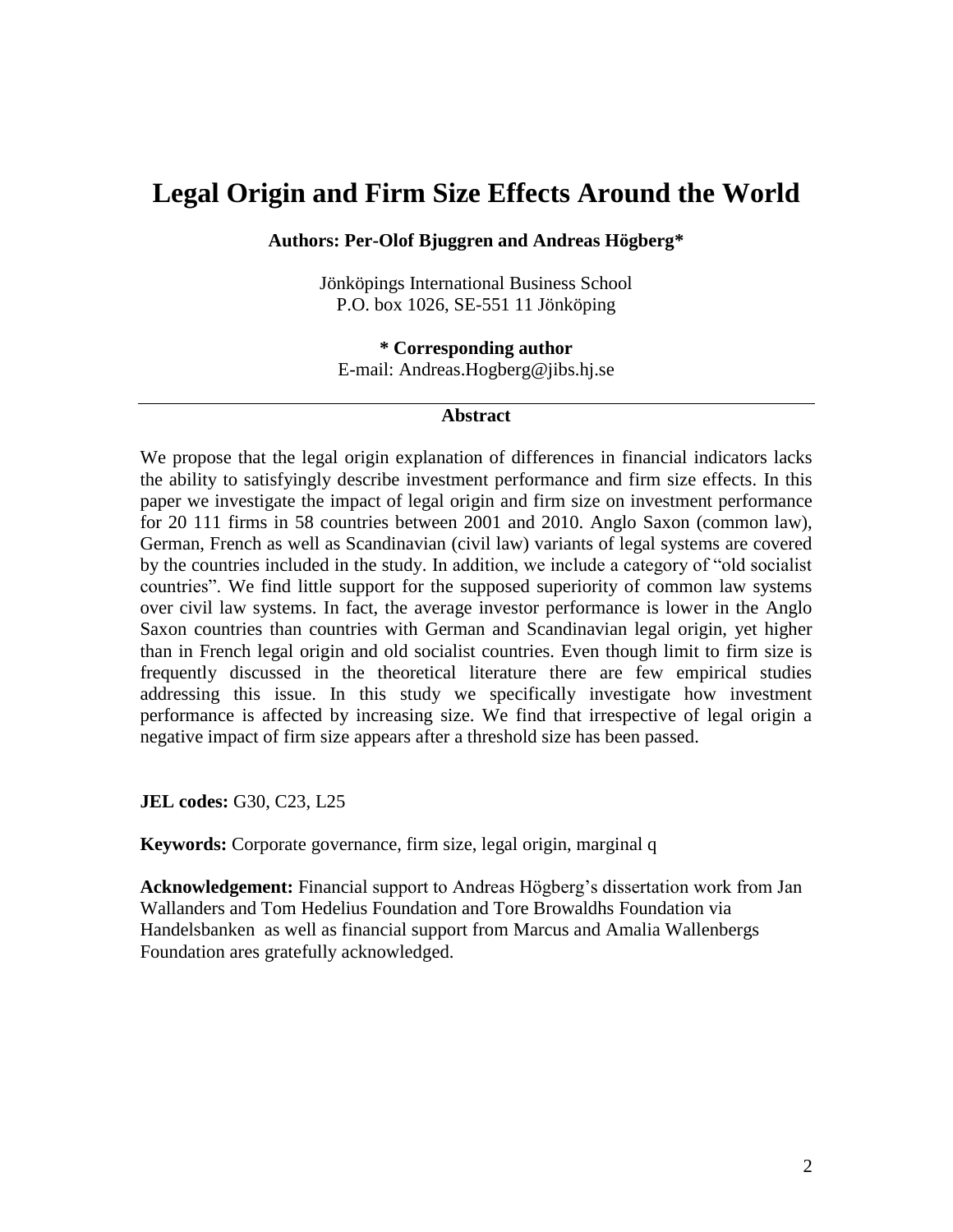## **Legal Origin and Firm Size Effects Around the World**

#### **Authors: Per-Olof Bjuggren and Andreas Högberg\***

Jönköpings International Business School P.O. box 1026, SE-551 11 Jönköping

**\* Corresponding author** E-mail: Andreas.Hogberg@jibs.hj.se

#### **Abstract**

We propose that the legal origin explanation of differences in financial indicators lacks the ability to satisfyingly describe investment performance and firm size effects. In this paper we investigate the impact of legal origin and firm size on investment performance for 20 111 firms in 58 countries between 2001 and 2010. Anglo Saxon (common law), German, French as well as Scandinavian (civil law) variants of legal systems are covered by the countries included in the study. In addition, we include a category of "old socialist countries". We find little support for the supposed superiority of common law systems over civil law systems. In fact, the average investor performance is lower in the Anglo Saxon countries than countries with German and Scandinavian legal origin, yet higher than in French legal origin and old socialist countries. Even though limit to firm size is frequently discussed in the theoretical literature there are few empirical studies addressing this issue. In this study we specifically investigate how investment performance is affected by increasing size. We find that irrespective of legal origin a negative impact of firm size appears after a threshold size has been passed.

**JEL codes:** G30, C23, L25

**Keywords:** Corporate governance, firm size, legal origin, marginal q

**Acknowledgement:** Financial support to Andreas Högberg's dissertation work from Jan Wallanders and Tom Hedelius Foundation and Tore Browaldhs Foundation via Handelsbanken as well as financial support from Marcus and Amalia Wallenbergs Foundation ares gratefully acknowledged.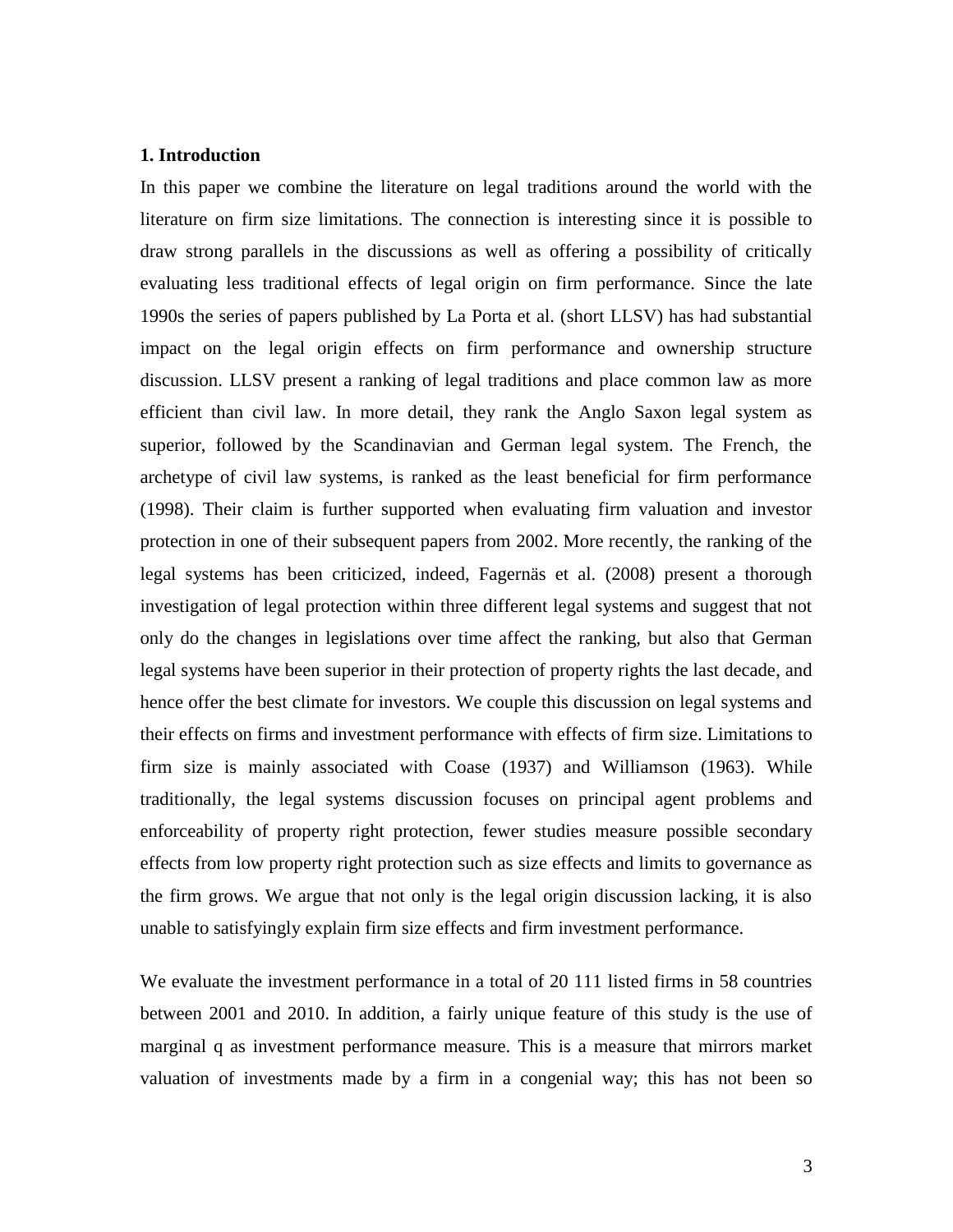#### **1. Introduction**

In this paper we combine the literature on legal traditions around the world with the literature on firm size limitations. The connection is interesting since it is possible to draw strong parallels in the discussions as well as offering a possibility of critically evaluating less traditional effects of legal origin on firm performance. Since the late 1990s the series of papers published by La Porta et al. (short LLSV) has had substantial impact on the legal origin effects on firm performance and ownership structure discussion. LLSV present a ranking of legal traditions and place common law as more efficient than civil law. In more detail, they rank the Anglo Saxon legal system as superior, followed by the Scandinavian and German legal system. The French, the archetype of civil law systems, is ranked as the least beneficial for firm performance [\(1998\)](#page-25-0). Their claim is further supported when evaluating firm valuation and investor protection in one of their subsequent papers from 2002. More recently, the ranking of the legal systems has been criticized, indeed, Fagernäs et al. [\(2008\)](#page-25-1) present a thorough investigation of legal protection within three different legal systems and suggest that not only do the changes in legislations over time affect the ranking, but also that German legal systems have been superior in their protection of property rights the last decade, and hence offer the best climate for investors. We couple this discussion on legal systems and their effects on firms and investment performance with effects of firm size. Limitations to firm size is mainly associated with Coase [\(1937\)](#page-25-2) and Williamson [\(1963\)](#page-26-0). While traditionally, the legal systems discussion focuses on principal agent problems and enforceability of property right protection, fewer studies measure possible secondary effects from low property right protection such as size effects and limits to governance as the firm grows. We argue that not only is the legal origin discussion lacking, it is also unable to satisfyingly explain firm size effects and firm investment performance.

We evaluate the investment performance in a total of 20 111 listed firms in 58 countries between 2001 and 2010. In addition, a fairly unique feature of this study is the use of marginal q as investment performance measure. This is a measure that mirrors market valuation of investments made by a firm in a congenial way; this has not been so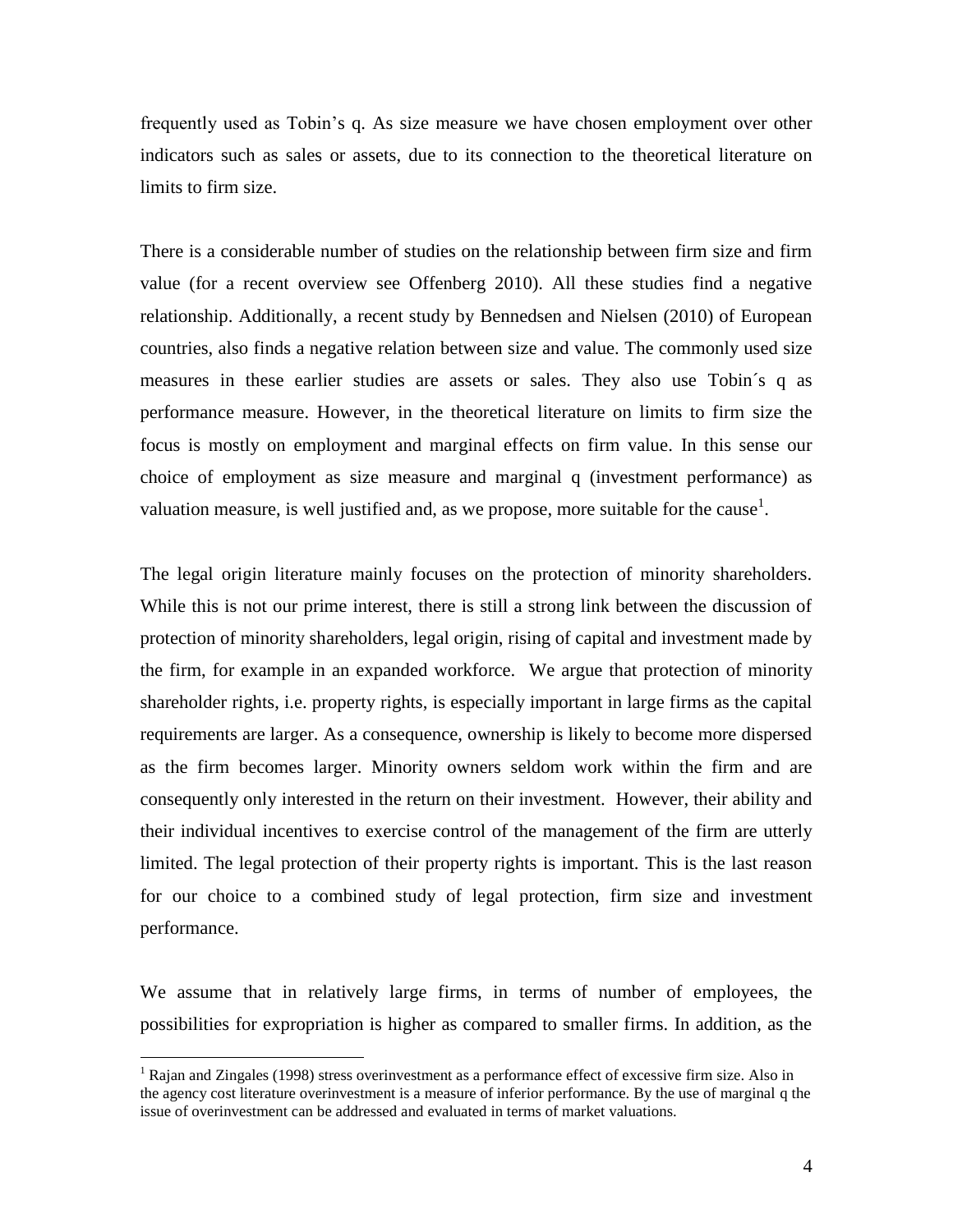frequently used as Tobin's q. As size measure we have chosen employment over other indicators such as sales or assets, due to its connection to the theoretical literature on limits to firm size.

There is a considerable number of studies on the relationship between firm size and firm value (for a recent overview see Offenberg 2010). All these studies find a negative relationship. Additionally, a recent study by Bennedsen and Nielsen [\(2010\)](#page-25-3) of European countries, also finds a negative relation between size and value. The commonly used size measures in these earlier studies are assets or sales. They also use Tobin´s q as performance measure. However, in the theoretical literature on limits to firm size the focus is mostly on employment and marginal effects on firm value. In this sense our choice of employment as size measure and marginal q (investment performance) as valuation measure, is well justified and, as we propose, more suitable for the cause<sup>1</sup>.

The legal origin literature mainly focuses on the protection of minority shareholders. While this is not our prime interest, there is still a strong link between the discussion of protection of minority shareholders, legal origin, rising of capital and investment made by the firm, for example in an expanded workforce. We argue that protection of minority shareholder rights, i.e. property rights, is especially important in large firms as the capital requirements are larger. As a consequence, ownership is likely to become more dispersed as the firm becomes larger. Minority owners seldom work within the firm and are consequently only interested in the return on their investment. However, their ability and their individual incentives to exercise control of the management of the firm are utterly limited. The legal protection of their property rights is important. This is the last reason for our choice to a combined study of legal protection, firm size and investment performance.

We assume that in relatively large firms, in terms of number of employees, the possibilities for expropriation is higher as compared to smaller firms. In addition, as the

<sup>&</sup>lt;sup>1</sup> Rajan and Zingales (1998) stress overinvestment as a performance effect of excessive firm size. Also in the agency cost literature overinvestment is a measure of inferior performance. By the use of marginal q the issue of overinvestment can be addressed and evaluated in terms of market valuations.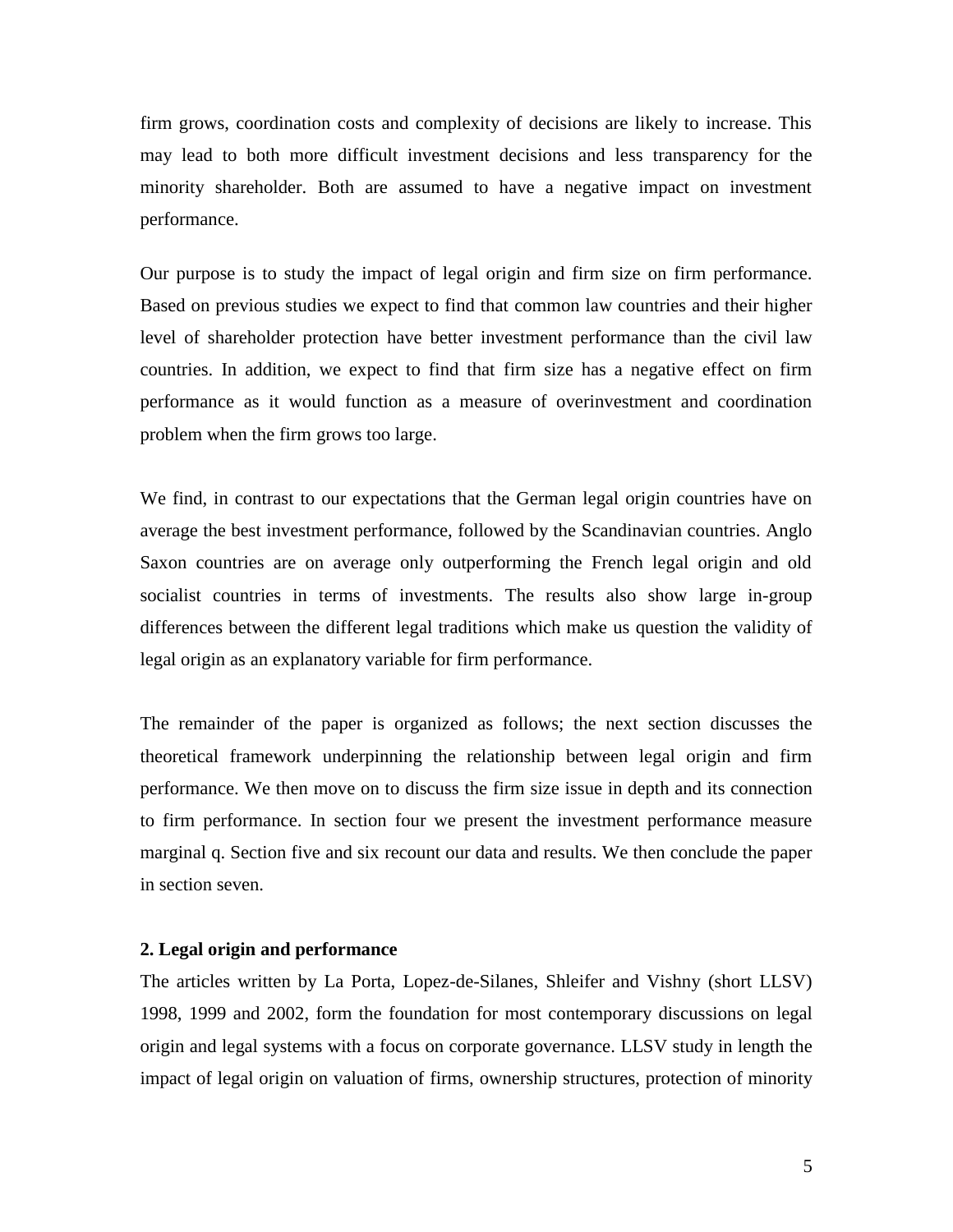firm grows, coordination costs and complexity of decisions are likely to increase. This may lead to both more difficult investment decisions and less transparency for the minority shareholder. Both are assumed to have a negative impact on investment performance.

Our purpose is to study the impact of legal origin and firm size on firm performance. Based on previous studies we expect to find that common law countries and their higher level of shareholder protection have better investment performance than the civil law countries. In addition, we expect to find that firm size has a negative effect on firm performance as it would function as a measure of overinvestment and coordination problem when the firm grows too large.

We find, in contrast to our expectations that the German legal origin countries have on average the best investment performance, followed by the Scandinavian countries. Anglo Saxon countries are on average only outperforming the French legal origin and old socialist countries in terms of investments. The results also show large in-group differences between the different legal traditions which make us question the validity of legal origin as an explanatory variable for firm performance.

The remainder of the paper is organized as follows; the next section discusses the theoretical framework underpinning the relationship between legal origin and firm performance. We then move on to discuss the firm size issue in depth and its connection to firm performance. In section four we present the investment performance measure marginal q. Section five and six recount our data and results. We then conclude the paper in section seven.

#### **2. Legal origin and performance**

The articles written by La Porta, Lopez-de-Silanes, Shleifer and Vishny (short LLSV) 1998, 1999 and 2002, form the foundation for most contemporary discussions on legal origin and legal systems with a focus on corporate governance. LLSV study in length the impact of legal origin on valuation of firms, ownership structures, protection of minority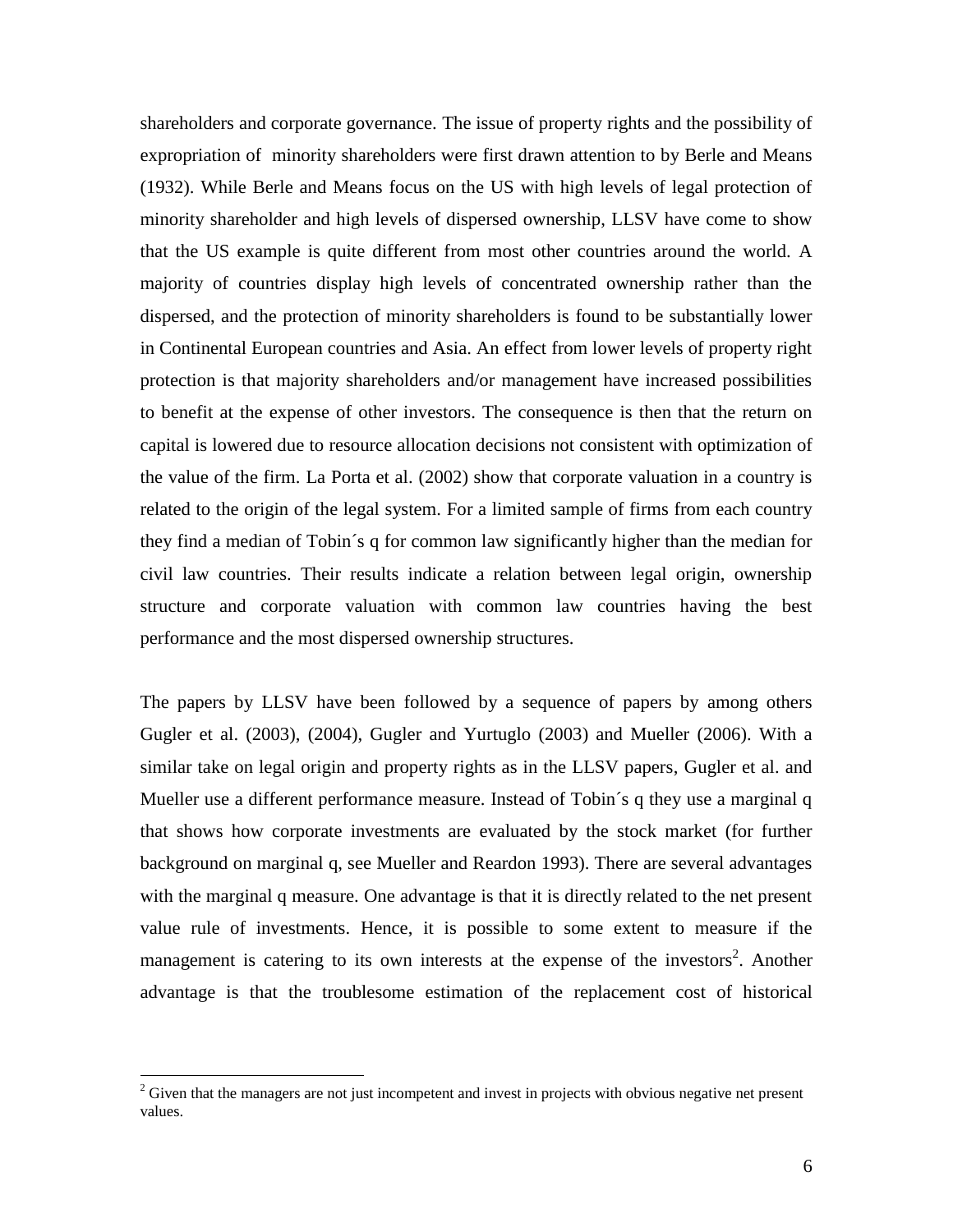shareholders and corporate governance. The issue of property rights and the possibility of expropriation of minority shareholders were first drawn attention to by Berle and Means [\(1932\)](#page-25-4). While Berle and Means focus on the US with high levels of legal protection of minority shareholder and high levels of dispersed ownership, LLSV have come to show that the US example is quite different from most other countries around the world. A majority of countries display high levels of concentrated ownership rather than the dispersed, and the protection of minority shareholders is found to be substantially lower in Continental European countries and Asia. An effect from lower levels of property right protection is that majority shareholders and/or management have increased possibilities to benefit at the expense of other investors. The consequence is then that the return on capital is lowered due to resource allocation decisions not consistent with optimization of the value of the firm. La Porta et al. [\(2002\)](#page-25-5) show that corporate valuation in a country is related to the origin of the legal system. For a limited sample of firms from each country they find a median of Tobin´s q for common law significantly higher than the median for civil law countries. Their results indicate a relation between legal origin, ownership structure and corporate valuation with common law countries having the best performance and the most dispersed ownership structures.

The papers by LLSV have been followed by a sequence of papers by among others Gugler et al. [\(2003\)](#page-25-6), [\(2004\)](#page-25-7), Gugler and Yurtuglo [\(2003\)](#page-25-8) and Mueller [\(2006\)](#page-26-1). With a similar take on legal origin and property rights as in the LLSV papers, Gugler et al. and Mueller use a different performance measure. Instead of Tobin´s q they use a marginal q that shows how corporate investments are evaluated by the stock market (for further background on marginal q, see Mueller and Reardon 1993). There are several advantages with the marginal q measure. One advantage is that it is directly related to the net present value rule of investments. Hence, it is possible to some extent to measure if the management is catering to its own interests at the expense of the investors<sup>2</sup>. Another advantage is that the troublesome estimation of the replacement cost of historical

<sup>&</sup>lt;sup>2</sup> Given that the managers are not just incompetent and invest in projects with obvious negative net present values.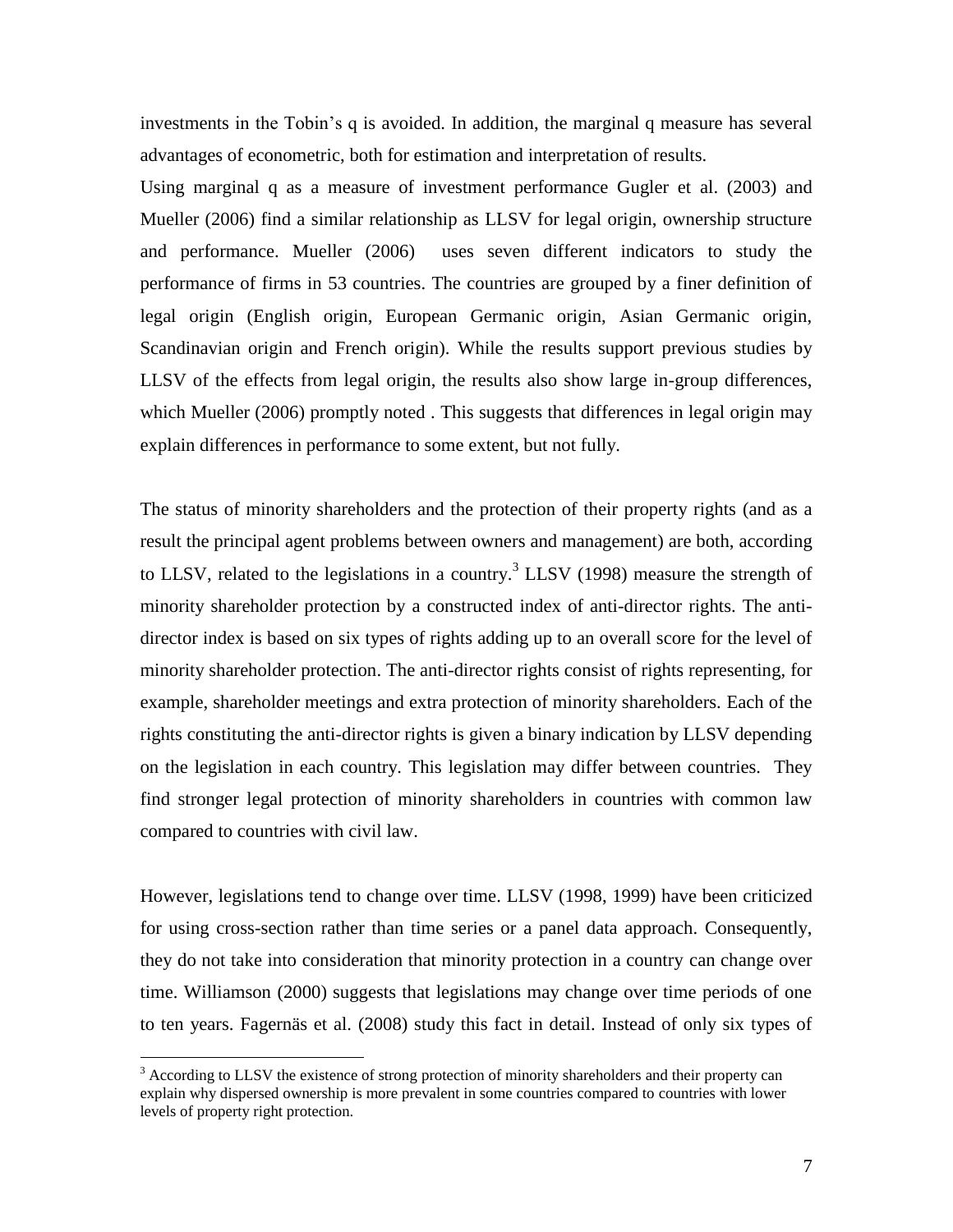investments in the Tobin's q is avoided. In addition, the marginal q measure has several advantages of econometric, both for estimation and interpretation of results.

Using marginal q as a measure of investment performance Gugler et al. [\(2003\)](#page-25-8) and Mueller [\(2006\)](#page-26-1) find a similar relationship as LLSV for legal origin, ownership structure and performance. Mueller [\(2006\)](#page-26-1) uses seven different indicators to study the performance of firms in 53 countries. The countries are grouped by a finer definition of legal origin (English origin, European Germanic origin, Asian Germanic origin, Scandinavian origin and French origin). While the results support previous studies by LLSV of the effects from legal origin, the results also show large in-group differences, which Mueller [\(2006\)](#page-26-1) promptly noted. This suggests that differences in legal origin may explain differences in performance to some extent, but not fully.

The status of minority shareholders and the protection of their property rights (and as a result the principal agent problems between owners and management) are both, according to LLSV, related to the legislations in a country.<sup>3</sup> LLSV [\(1998\)](#page-25-0) measure the strength of minority shareholder protection by a constructed index of anti-director rights. The antidirector index is based on six types of rights adding up to an overall score for the level of minority shareholder protection. The anti-director rights consist of rights representing, for example, shareholder meetings and extra protection of minority shareholders. Each of the rights constituting the anti-director rights is given a binary indication by LLSV depending on the legislation in each country. This legislation may differ between countries. They find stronger legal protection of minority shareholders in countries with common law compared to countries with civil law.

However, legislations tend to change over time. LLSV (1998, 1999) have been criticized for using cross-section rather than time series or a panel data approach. Consequently, they do not take into consideration that minority protection in a country can change over time. Williamson [\(2000\)](#page-26-2) suggests that legislations may change over time periods of one to ten years. Fagernäs et al. [\(2008\)](#page-25-1) study this fact in detail. Instead of only six types of

 $3$  According to LLSV the existence of strong protection of minority shareholders and their property can explain why dispersed ownership is more prevalent in some countries compared to countries with lower levels of property right protection.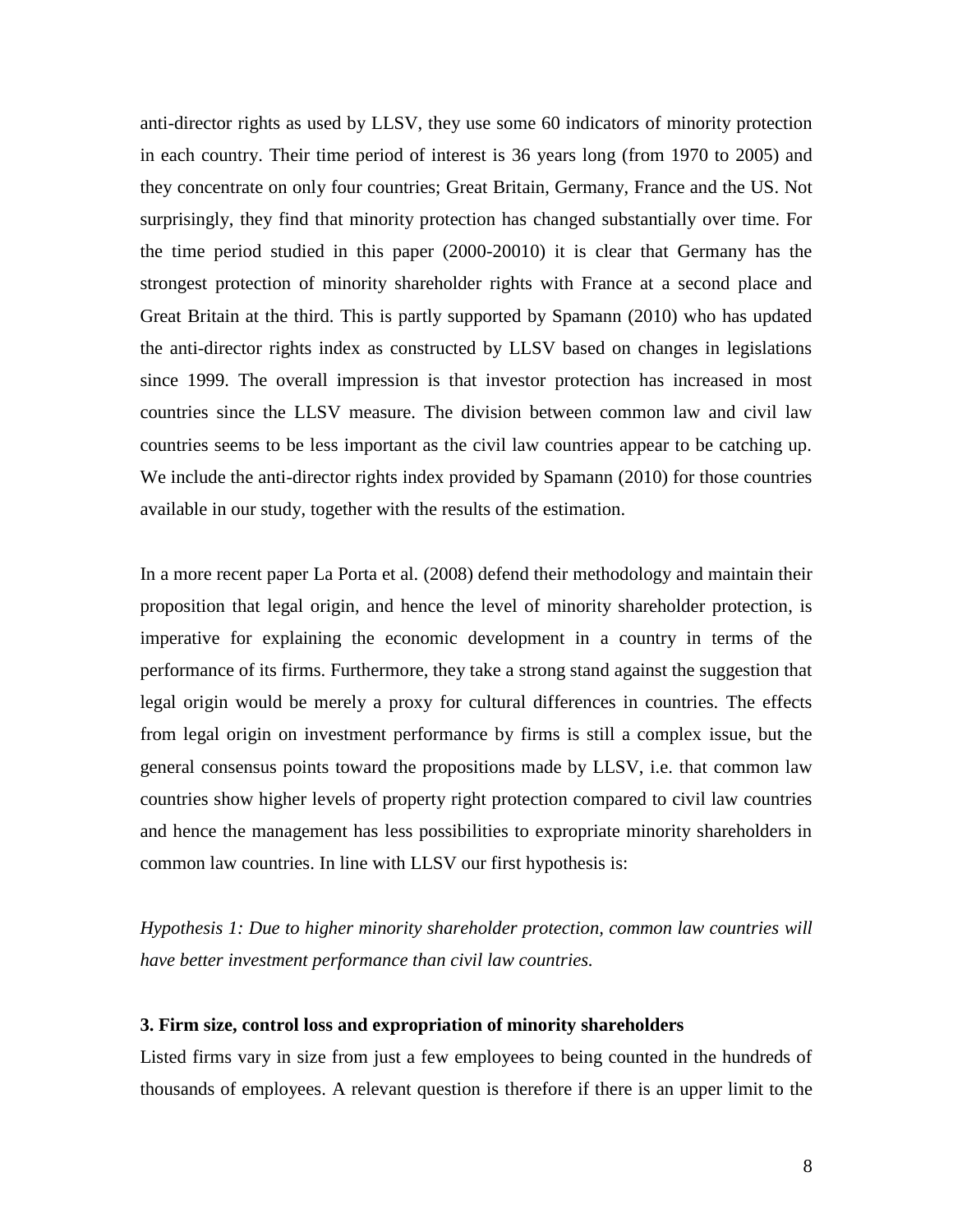anti-director rights as used by LLSV, they use some 60 indicators of minority protection in each country. Their time period of interest is 36 years long (from 1970 to 2005) and they concentrate on only four countries; Great Britain, Germany, France and the US. Not surprisingly, they find that minority protection has changed substantially over time. For the time period studied in this paper (2000-20010) it is clear that Germany has the strongest protection of minority shareholder rights with France at a second place and Great Britain at the third. This is partly supported by Spamann [\(2010\)](#page-26-3) who has updated the anti-director rights index as constructed by LLSV based on changes in legislations since 1999. The overall impression is that investor protection has increased in most countries since the LLSV measure. The division between common law and civil law countries seems to be less important as the civil law countries appear to be catching up. We include the anti-director rights index provided by Spamann [\(2010\)](#page-26-3) for those countries available in our study, together with the results of the estimation.

In a more recent paper La Porta et al. [\(2008\)](#page-25-9) defend their methodology and maintain their proposition that legal origin, and hence the level of minority shareholder protection, is imperative for explaining the economic development in a country in terms of the performance of its firms. Furthermore, they take a strong stand against the suggestion that legal origin would be merely a proxy for cultural differences in countries. The effects from legal origin on investment performance by firms is still a complex issue, but the general consensus points toward the propositions made by LLSV, i.e. that common law countries show higher levels of property right protection compared to civil law countries and hence the management has less possibilities to expropriate minority shareholders in common law countries. In line with LLSV our first hypothesis is:

*Hypothesis 1: Due to higher minority shareholder protection, common law countries will have better investment performance than civil law countries.*

#### **3. Firm size, control loss and expropriation of minority shareholders**

Listed firms vary in size from just a few employees to being counted in the hundreds of thousands of employees. A relevant question is therefore if there is an upper limit to the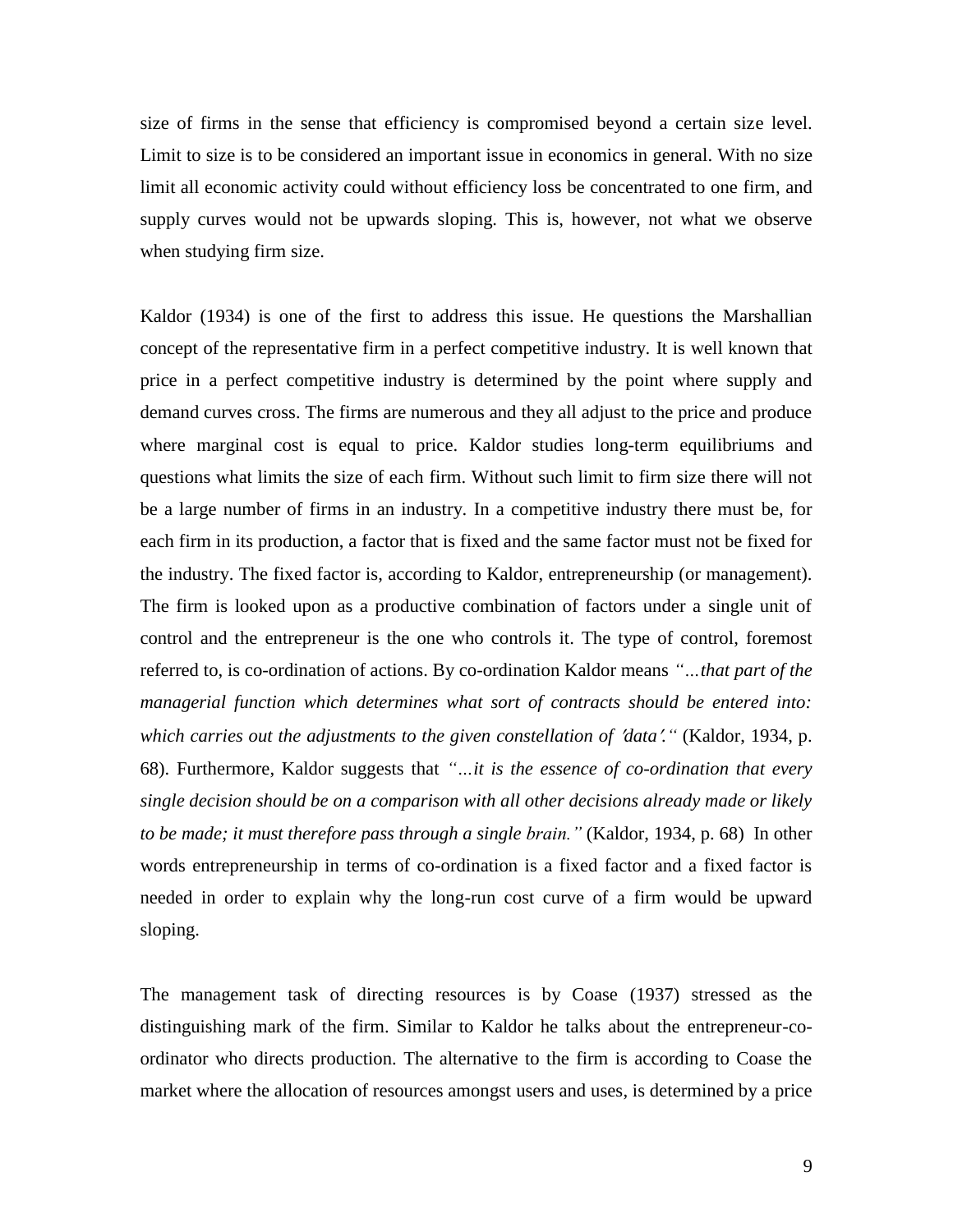size of firms in the sense that efficiency is compromised beyond a certain size level. Limit to size is to be considered an important issue in economics in general. With no size limit all economic activity could without efficiency loss be concentrated to one firm, and supply curves would not be upwards sloping. This is, however, not what we observe when studying firm size.

Kaldor (1934) is one of the first to address this issue. He questions the Marshallian concept of the representative firm in a perfect competitive industry. It is well known that price in a perfect competitive industry is determined by the point where supply and demand curves cross. The firms are numerous and they all adjust to the price and produce where marginal cost is equal to price. Kaldor studies long-term equilibriums and questions what limits the size of each firm. Without such limit to firm size there will not be a large number of firms in an industry. In a competitive industry there must be, for each firm in its production, a factor that is fixed and the same factor must not be fixed for the industry. The fixed factor is, according to Kaldor, entrepreneurship (or management). The firm is looked upon as a productive combination of factors under a single unit of control and the entrepreneur is the one who controls it. The type of control, foremost referred to, is co-ordination of actions. By co-ordination Kaldor means *"…that part of the managerial function which determines what sort of contracts should be entered into: which carries out the adjustments to the given constellation of data."* [\(Kaldor, 1934, p.](#page-25-10)  [68\)](#page-25-10). Furthermore, Kaldor suggests that *"…it is the essence of co-ordination that every single decision should be on a comparison with all other decisions already made or likely to be made; it must therefore pass through a single brain."* [\(Kaldor, 1934, p. 68\)](#page-25-10) In other words entrepreneurship in terms of co-ordination is a fixed factor and a fixed factor is needed in order to explain why the long-run cost curve of a firm would be upward sloping.

The management task of directing resources is by Coase [\(1937\)](#page-25-2) stressed as the distinguishing mark of the firm. Similar to Kaldor he talks about the entrepreneur-coordinator who directs production. The alternative to the firm is according to Coase the market where the allocation of resources amongst users and uses, is determined by a price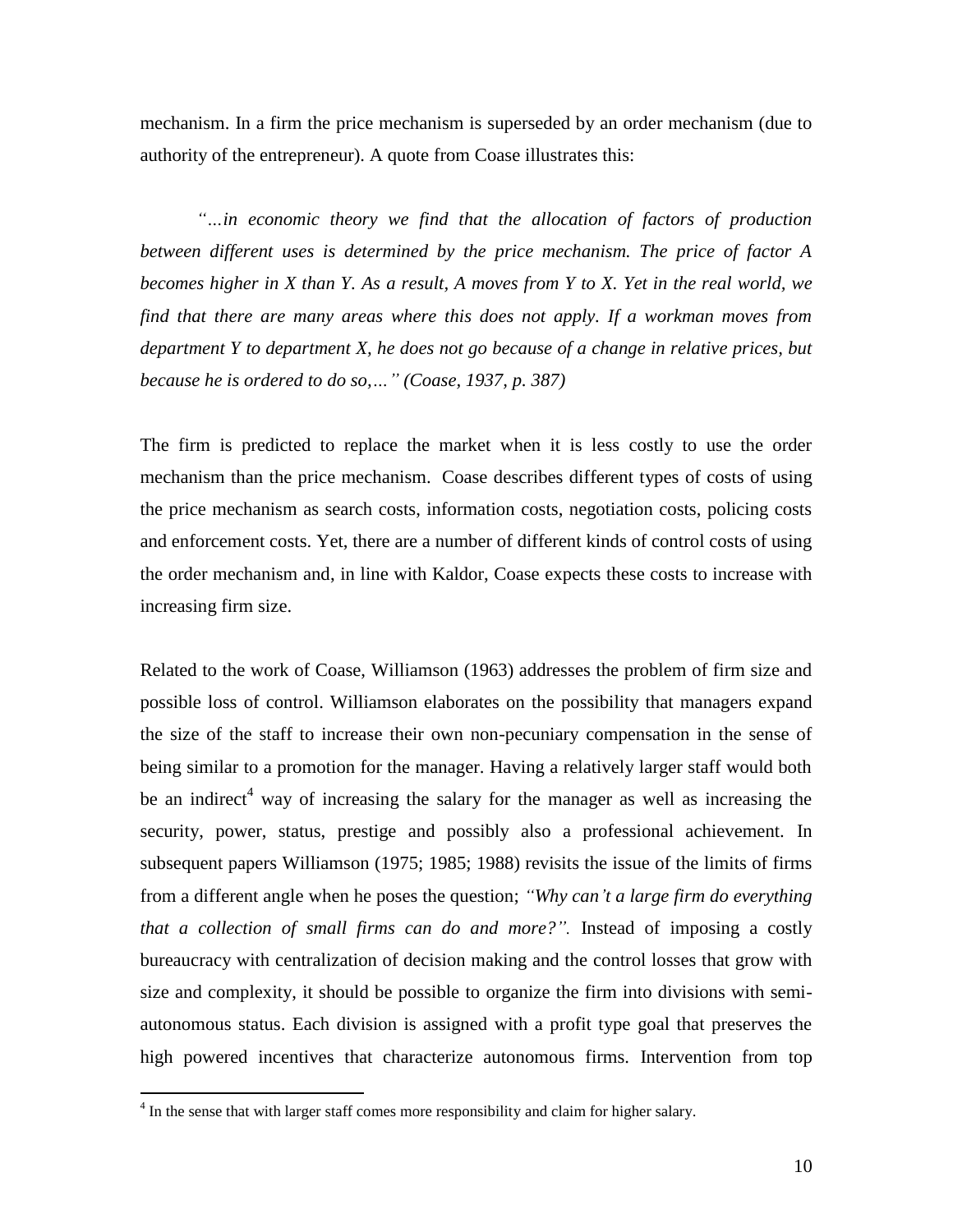mechanism. In a firm the price mechanism is superseded by an order mechanism (due to authority of the entrepreneur). A quote from Coase illustrates this:

*"…in economic theory we find that the allocation of factors of production between different uses is determined by the price mechanism. The price of factor A becomes higher in X than Y. As a result, A moves from Y to X. Yet in the real world, we find that there are many areas where this does not apply. If a workman moves from department Y to department X, he does not go because of a change in relative prices, but because he is ordered to do so,…" [\(Coase, 1937, p. 387\)](#page-25-2)*

The firm is predicted to replace the market when it is less costly to use the order mechanism than the price mechanism. Coase describes different types of costs of using the price mechanism as search costs, information costs, negotiation costs, policing costs and enforcement costs. Yet, there are a number of different kinds of control costs of using the order mechanism and, in line with Kaldor, Coase expects these costs to increase with increasing firm size.

Related to the work of Coase, Williamson [\(1963\)](#page-26-0) addresses the problem of firm size and possible loss of control. Williamson elaborates on the possibility that managers expand the size of the staff to increase their own non-pecuniary compensation in the sense of being similar to a promotion for the manager. Having a relatively larger staff would both be an indirect<sup>4</sup> way of increasing the salary for the manager as well as increasing the security, power, status, prestige and possibly also a professional achievement. In subsequent papers Williamson [\(1975;](#page-26-4) [1985;](#page-26-5) [1988\)](#page-26-6) revisits the issue of the limits of firms from a different angle when he poses the question; *"Why can't a large firm do everything that a collection of small firms can do and more?".* Instead of imposing a costly bureaucracy with centralization of decision making and the control losses that grow with size and complexity, it should be possible to organize the firm into divisions with semiautonomous status. Each division is assigned with a profit type goal that preserves the high powered incentives that characterize autonomous firms. Intervention from top

 $4 \text{ In the sense that with larger staff comes more responsibility and claim for higher salary.}$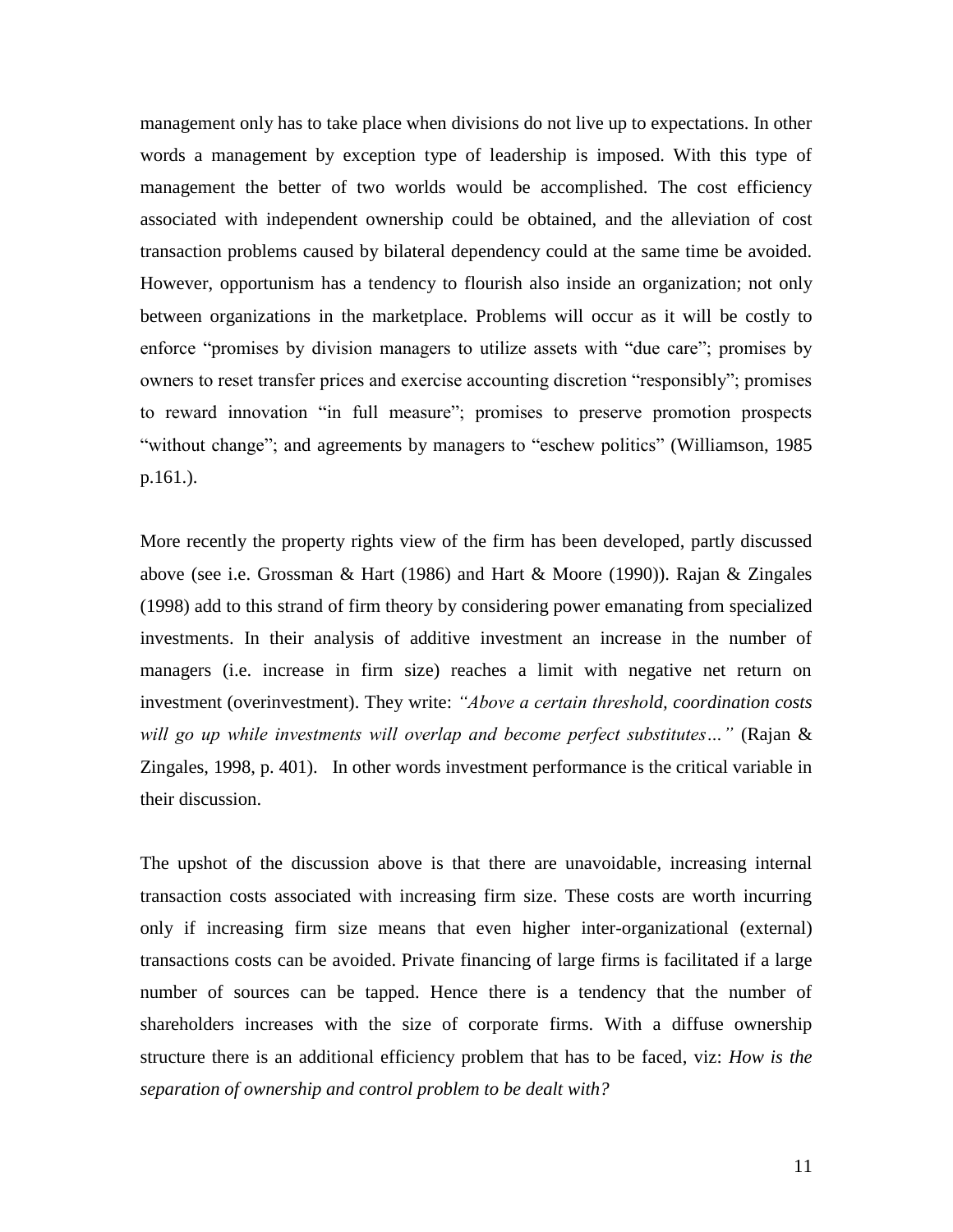management only has to take place when divisions do not live up to expectations. In other words a management by exception type of leadership is imposed. With this type of management the better of two worlds would be accomplished. The cost efficiency associated with independent ownership could be obtained, and the alleviation of cost transaction problems caused by bilateral dependency could at the same time be avoided. However, opportunism has a tendency to flourish also inside an organization; not only between organizations in the marketplace. Problems will occur as it will be costly to enforce "promises by division managers to utilize assets with "due care"; promises by owners to reset transfer prices and exercise accounting discretion "responsibly"; promises to reward innovation "in full measure"; promises to preserve promotion prospects "without change"; and agreements by managers to "eschew politics" (Williamson, 1985 p.161.).

More recently the property rights view of the firm has been developed, partly discussed above (see i.e. Grossman & Hart [\(1986\)](#page-25-11) and Hart & Moore [\(1990\)](#page-25-12)). Rajan & Zingales [\(1998\)](#page-26-7) add to this strand of firm theory by considering power emanating from specialized investments. In their analysis of additive investment an increase in the number of managers (i.e. increase in firm size) reaches a limit with negative net return on investment (overinvestment). They write: *"Above a certain threshold, coordination costs will go up while investments will overlap and become perfect substitutes…"* [\(Rajan &](#page-26-7)  [Zingales, 1998, p. 401\)](#page-26-7). In other words investment performance is the critical variable in their discussion.

The upshot of the discussion above is that there are unavoidable, increasing internal transaction costs associated with increasing firm size. These costs are worth incurring only if increasing firm size means that even higher inter-organizational (external) transactions costs can be avoided. Private financing of large firms is facilitated if a large number of sources can be tapped. Hence there is a tendency that the number of shareholders increases with the size of corporate firms. With a diffuse ownership structure there is an additional efficiency problem that has to be faced, viz: *How is the separation of ownership and control problem to be dealt with?*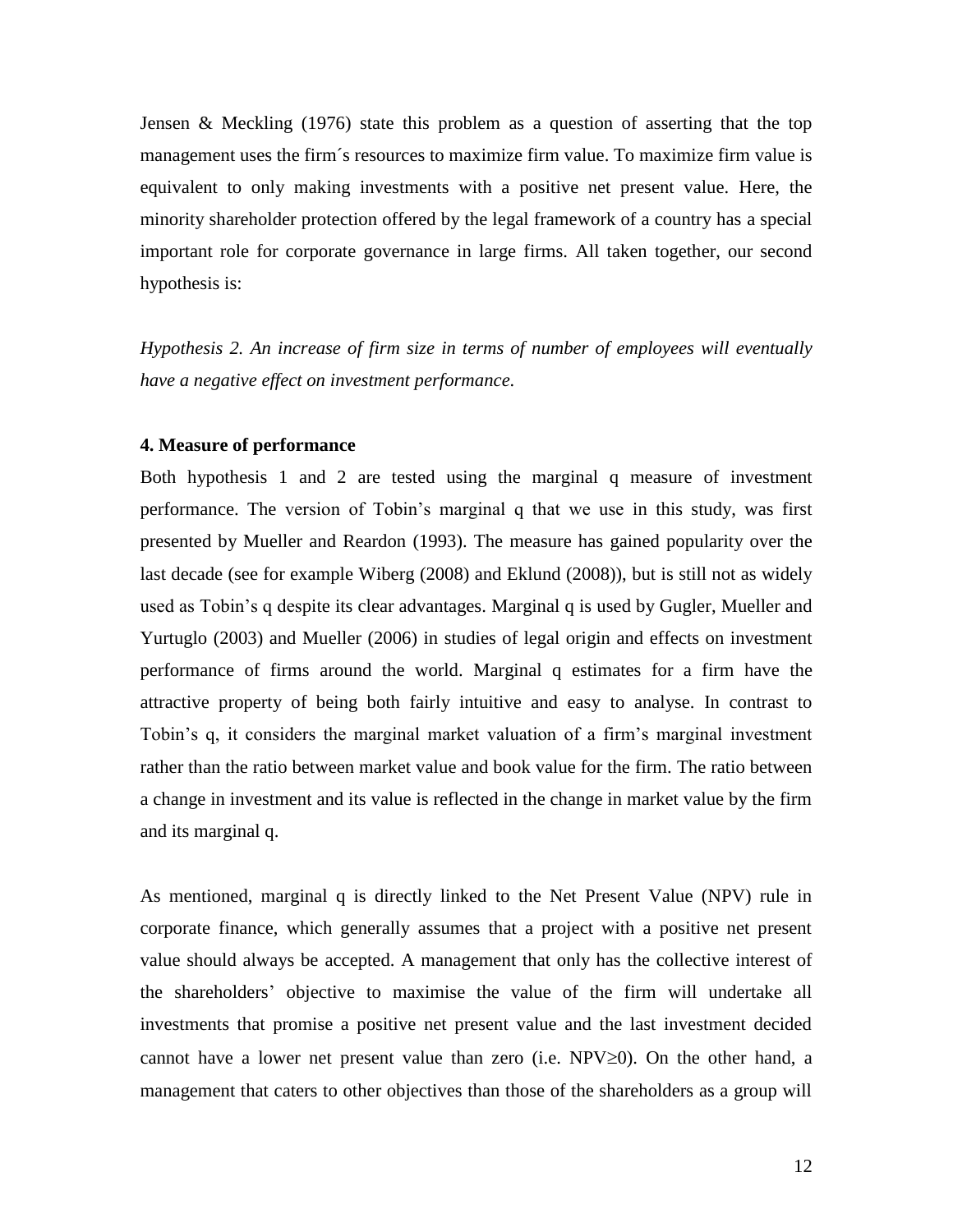Jensen & Meckling [\(1976\)](#page-25-13) state this problem as a question of asserting that the top management uses the firm´s resources to maximize firm value. To maximize firm value is equivalent to only making investments with a positive net present value. Here, the minority shareholder protection offered by the legal framework of a country has a special important role for corporate governance in large firms. All taken together, our second hypothesis is:

*Hypothesis 2. An increase of firm size in terms of number of employees will eventually have a negative effect on investment performance.*

#### **4. Measure of performance**

Both hypothesis 1 and 2 are tested using the marginal q measure of investment performance. The version of Tobin's marginal q that we use in this study, was first presented by Mueller and Reardon [\(1993\)](#page-26-8). The measure has gained popularity over the last decade (see for example Wiberg [\(2008\)](#page-26-9) and Eklund [\(2008\)](#page-25-14)), but is still not as widely used as Tobin's q despite its clear advantages. Marginal q is used by Gugler, Mueller and Yurtuglo [\(2003\)](#page-25-8) and Mueller [\(2006\)](#page-26-1) in studies of legal origin and effects on investment performance of firms around the world. Marginal q estimates for a firm have the attractive property of being both fairly intuitive and easy to analyse. In contrast to Tobin's q, it considers the marginal market valuation of a firm's marginal investment rather than the ratio between market value and book value for the firm. The ratio between a change in investment and its value is reflected in the change in market value by the firm and its marginal q.

As mentioned, marginal q is directly linked to the Net Present Value (NPV) rule in corporate finance, which generally assumes that a project with a positive net present value should always be accepted. A management that only has the collective interest of the shareholders' objective to maximise the value of the firm will undertake all investments that promise a positive net present value and the last investment decided cannot have a lower net present value than zero (i.e.  $NPV\geq 0$ ). On the other hand, a management that caters to other objectives than those of the shareholders as a group will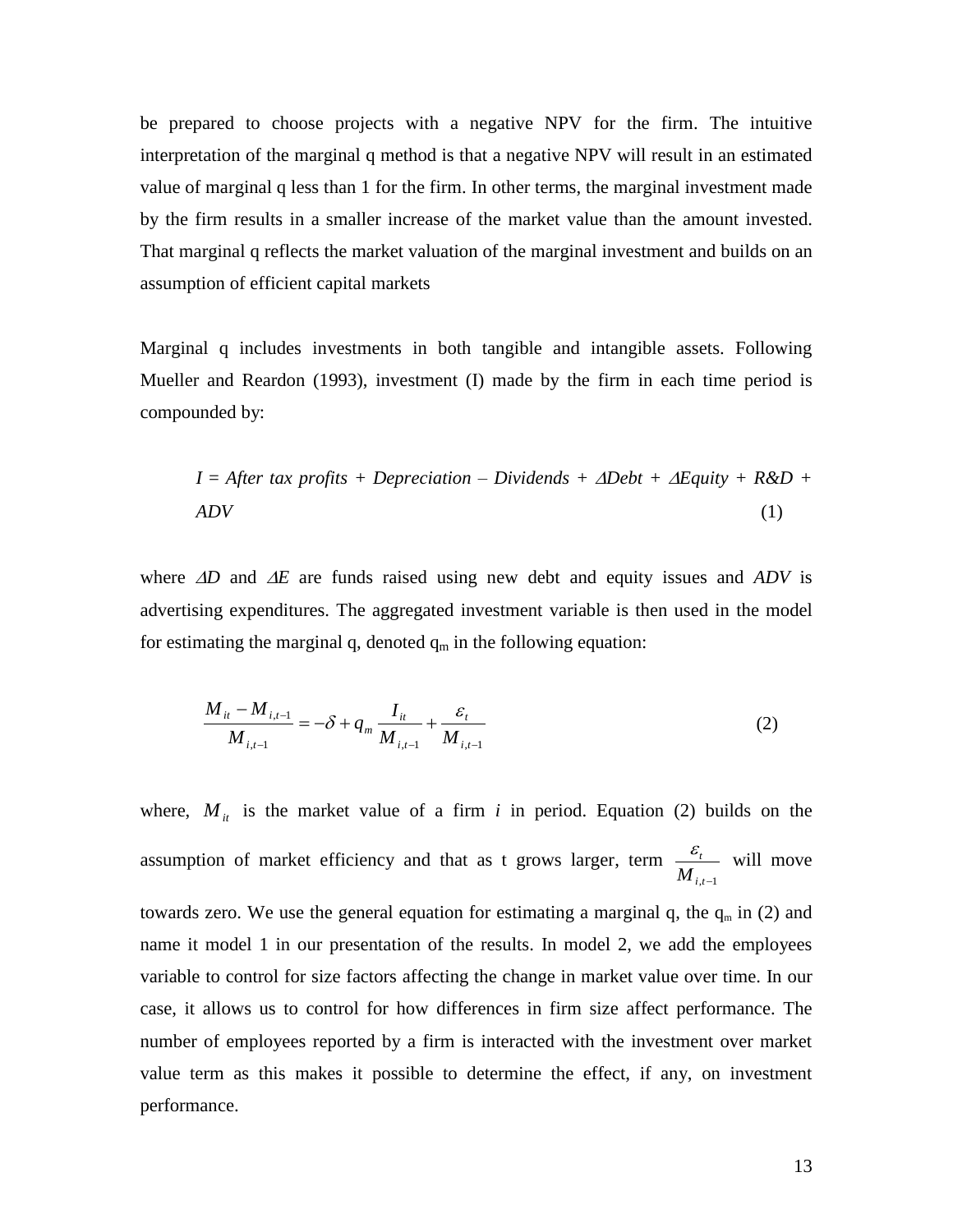be prepared to choose projects with a negative NPV for the firm. The intuitive interpretation of the marginal q method is that a negative NPV will result in an estimated value of marginal q less than 1 for the firm. In other terms, the marginal investment made by the firm results in a smaller increase of the market value than the amount invested. That marginal q reflects the market valuation of the marginal investment and builds on an assumption of efficient capital markets

Marginal q includes investments in both tangible and intangible assets. Following Mueller and Reardon [\(1993\)](#page-26-8), investment (I) made by the firm in each time period is compounded by:

$$
I = After tax profits + Depreciation - Dividends + \Delta Debt + \Delta Equity + R&D + \Delta DV
$$
\n(1)

where  $\Delta D$  and  $\Delta E$  are funds raised using new debt and equity issues and  $ADV$  is advertising expenditures. The aggregated investment variable is then used in the model for estimating the marginal q, denoted  $q_m$  in the following equation:

$$
\frac{M_{it} - M_{i,t-1}}{M_{i,t-1}} = -\delta + q_m \frac{I_{it}}{M_{i,t-1}} + \frac{\varepsilon_t}{M_{i,t-1}}
$$
(2)

where,  $M_{it}$  is the market value of a firm *i* in period. Equation (2) builds on the assumption of market efficiency and that as t grows larger, term  $i$ , $t-1$ *t M*  $\frac{\varepsilon_t}{\varepsilon}$  will move towards zero. We use the general equation for estimating a marginal q, the  $q_m$  in (2) and name it model 1 in our presentation of the results. In model 2, we add the employees variable to control for size factors affecting the change in market value over time. In our case, it allows us to control for how differences in firm size affect performance. The number of employees reported by a firm is interacted with the investment over market value term as this makes it possible to determine the effect, if any, on investment performance.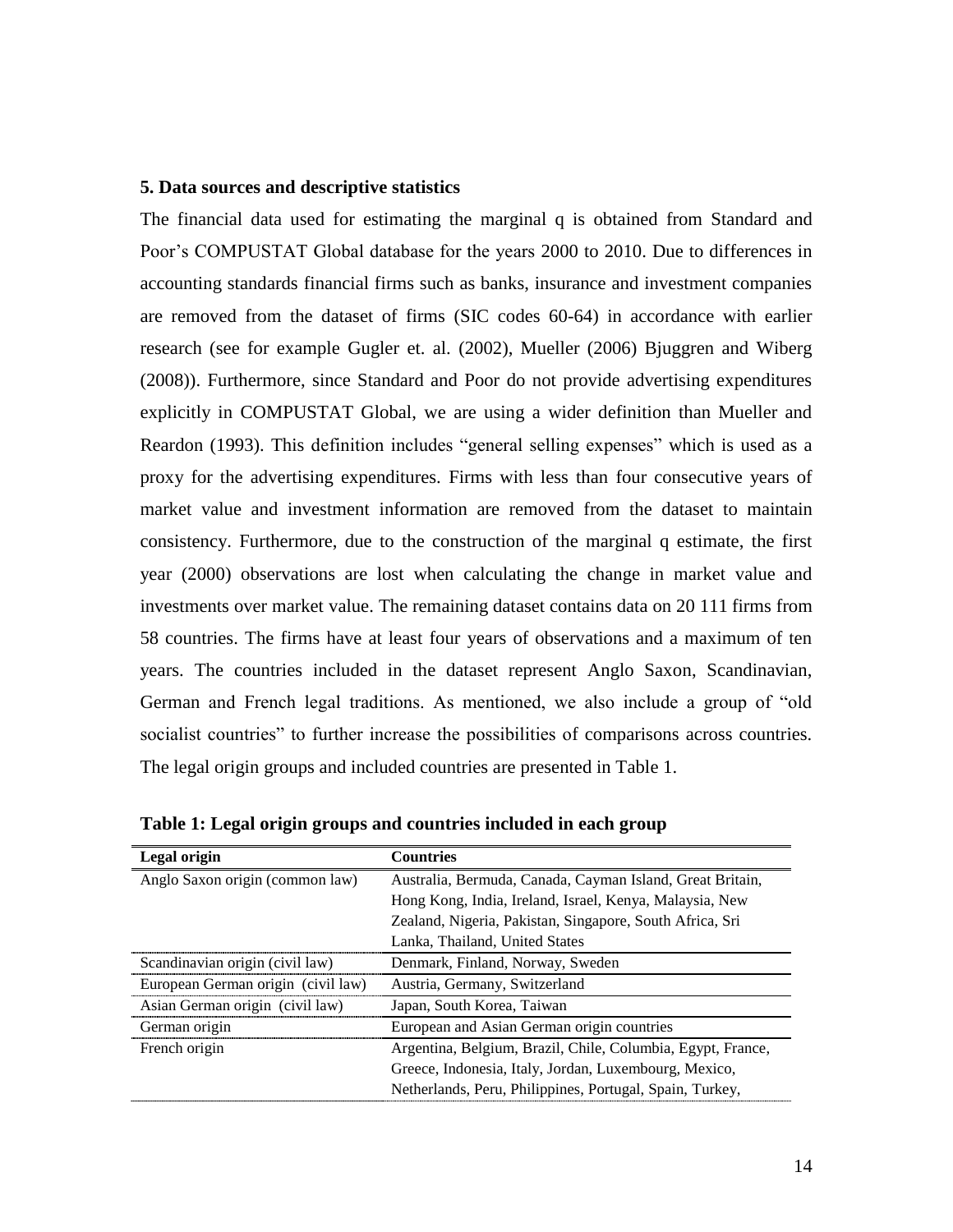#### **5. Data sources and descriptive statistics**

The financial data used for estimating the marginal q is obtained from Standard and Poor's COMPUSTAT Global database for the years 2000 to 2010. Due to differences in accounting standards financial firms such as banks, insurance and investment companies are removed from the dataset of firms (SIC codes 60-64) in accordance with earlier research (see for example Gugler et. al. [\(2002\)](#page-25-15), Mueller [\(2006\)](#page-26-1) Bjuggren and Wiberg [\(2008\)](#page-25-16)). Furthermore, since Standard and Poor do not provide advertising expenditures explicitly in COMPUSTAT Global, we are using a wider definition than Mueller and Reardon [\(1993\)](#page-26-8). This definition includes "general selling expenses" which is used as a proxy for the advertising expenditures. Firms with less than four consecutive years of market value and investment information are removed from the dataset to maintain consistency. Furthermore, due to the construction of the marginal q estimate, the first year (2000) observations are lost when calculating the change in market value and investments over market value. The remaining dataset contains data on 20 111 firms from 58 countries. The firms have at least four years of observations and a maximum of ten years. The countries included in the dataset represent Anglo Saxon, Scandinavian, German and French legal traditions. As mentioned, we also include a group of "old socialist countries" to further increase the possibilities of comparisons across countries. The legal origin groups and included countries are presented in Table 1.

| Legal origin                       | <b>Countries</b>                                            |
|------------------------------------|-------------------------------------------------------------|
| Anglo Saxon origin (common law)    | Australia, Bermuda, Canada, Cayman Island, Great Britain,   |
|                                    | Hong Kong, India, Ireland, Israel, Kenya, Malaysia, New     |
|                                    | Zealand, Nigeria, Pakistan, Singapore, South Africa, Sri    |
|                                    | Lanka, Thailand, United States                              |
| Scandinavian origin (civil law)    | Denmark, Finland, Norway, Sweden                            |
| European German origin (civil law) | Austria, Germany, Switzerland                               |
| Asian German origin (civil law)    | Japan, South Korea, Taiwan                                  |
| German origin                      | European and Asian German origin countries                  |
| French origin                      | Argentina, Belgium, Brazil, Chile, Columbia, Egypt, France, |
|                                    | Greece, Indonesia, Italy, Jordan, Luxembourg, Mexico,       |
|                                    | Netherlands, Peru, Philippines, Portugal, Spain, Turkey,    |

**Table 1: Legal origin groups and countries included in each group**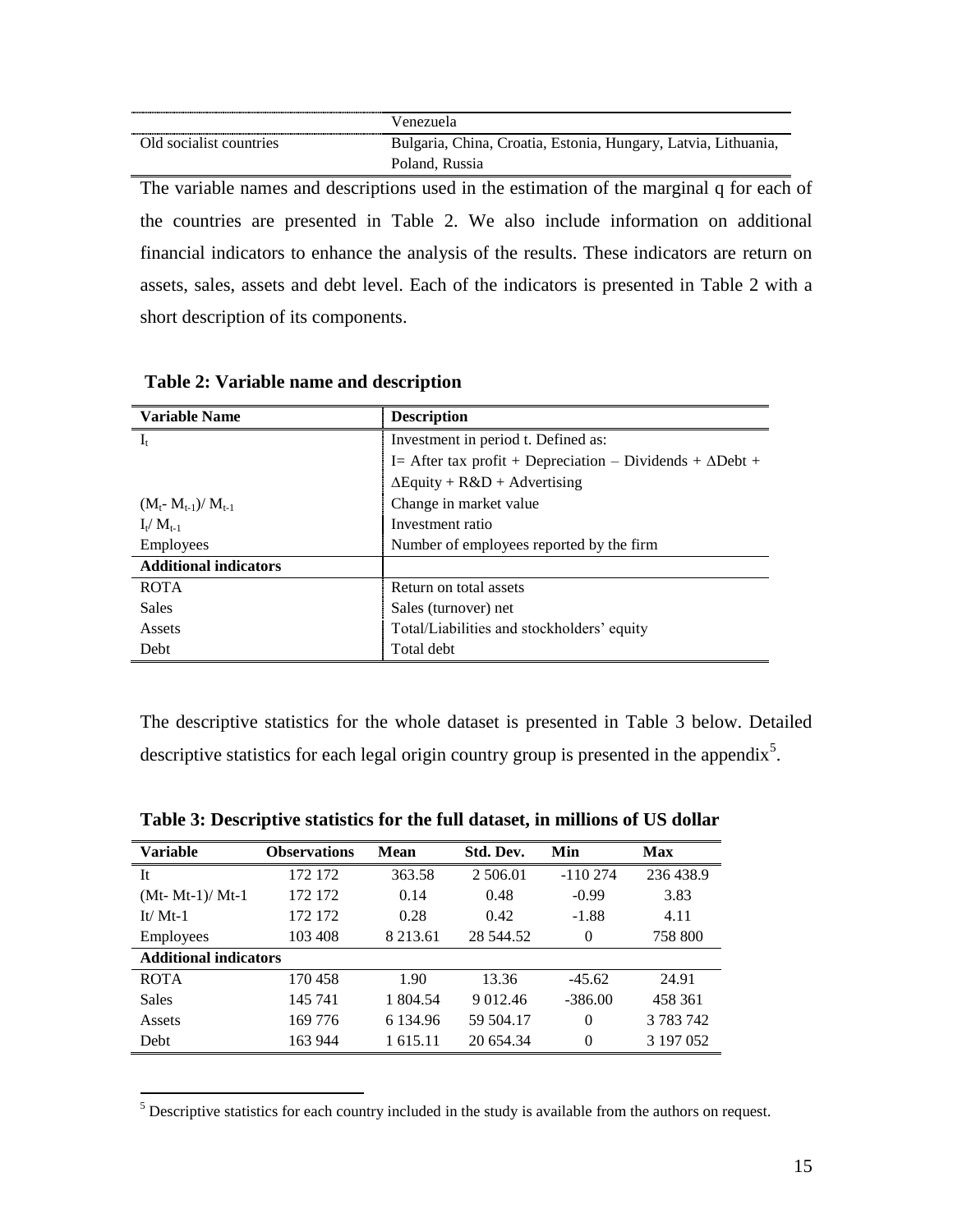|                         | Venezuela                                                      |  |  |  |  |  |
|-------------------------|----------------------------------------------------------------|--|--|--|--|--|
| Old socialist countries | Bulgaria, China, Croatia, Estonia, Hungary, Latvia, Lithuania, |  |  |  |  |  |
| Poland, Russia          |                                                                |  |  |  |  |  |
| .<br>- -<br>___         | . .                                                            |  |  |  |  |  |

The variable names and descriptions used in the estimation of the marginal q for each of the countries are presented in Table 2. We also include information on additional financial indicators to enhance the analysis of the results. These indicators are return on assets, sales, assets and debt level. Each of the indicators is presented in Table 2 with a short description of its components.

| <b>Variable Name</b>         | <b>Description</b>                                                |  |  |  |
|------------------------------|-------------------------------------------------------------------|--|--|--|
| $I_t$                        | Investment in period t. Defined as:                               |  |  |  |
|                              | I = After tax profit + Depreciation – Dividends + $\Delta$ Debt + |  |  |  |
|                              | $\Delta$ Equity + R&D + Advertising                               |  |  |  |
| $(M_{t} - M_{t-1})/M_{t-1}$  | Change in market value                                            |  |  |  |
| $I_t/M_{t-1}$                | Investment ratio                                                  |  |  |  |
| <b>Employees</b>             | Number of employees reported by the firm                          |  |  |  |
| <b>Additional indicators</b> |                                                                   |  |  |  |
| <b>ROTA</b>                  | Return on total assets                                            |  |  |  |
| <b>Sales</b>                 | Sales (turnover) net                                              |  |  |  |
| Assets                       | Total/Liabilities and stockholders' equity                        |  |  |  |
| Debt                         | Total debt                                                        |  |  |  |

**Table 2: Variable name and description**

 $\overline{a}$ 

The descriptive statistics for the whole dataset is presented in Table 3 below. Detailed descriptive statistics for each legal origin country group is presented in the appendix<sup>5</sup>.

| Variable          | <b>Observations</b>          | Mean          | Std. Dev.     | Min       | <b>Max</b> |  |  |
|-------------------|------------------------------|---------------|---------------|-----------|------------|--|--|
| It                | 172 172                      | 363.58        | 2 506.01      | $-110274$ | 236 438.9  |  |  |
| $(Mt- Mt-1)/Mt-1$ | 172 172                      | 0.14          | 0.48          | $-0.99$   | 3.83       |  |  |
| It/ $Mt-1$        | 172 172                      | 0.28          | 0.42          | $-1.88$   | 4.11       |  |  |
| Employees         | 103 408                      | 8 2 1 3 . 6 1 | 28 544.52     | $\Omega$  | 758 800    |  |  |
|                   | <b>Additional indicators</b> |               |               |           |            |  |  |
| <b>ROTA</b>       | 170 458                      | 1.90          | 13.36         | $-45.62$  | 24.91      |  |  |
| <b>Sales</b>      | 145 741                      | 1 804.54      | 9 0 1 2 . 4 6 | $-386.00$ | 458 361    |  |  |
| Assets            | 169 776                      | 6 134.96      | 59 504.17     | $\Omega$  | 3 783 742  |  |  |
| Debt              | 163 944                      | 1 615.11      | 20 654.34     | $\Omega$  | 3 197 0 52 |  |  |

**Table 3: Descriptive statistics for the full dataset, in millions of US dollar**

<sup>5</sup> Descriptive statistics for each country included in the study is available from the authors on request.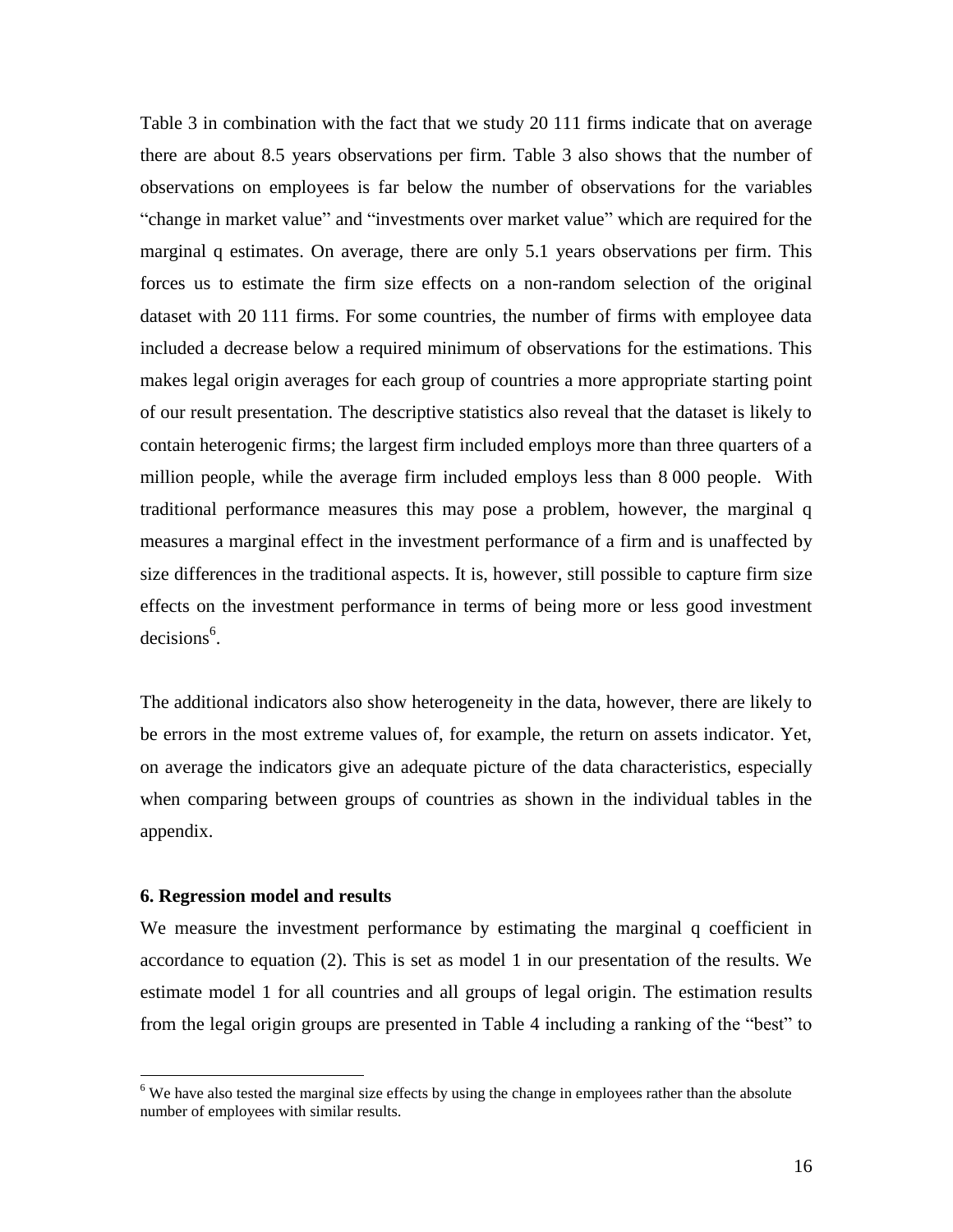Table 3 in combination with the fact that we study 20 111 firms indicate that on average there are about 8.5 years observations per firm. Table 3 also shows that the number of observations on employees is far below the number of observations for the variables "change in market value" and "investments over market value" which are required for the marginal q estimates. On average, there are only 5.1 years observations per firm. This forces us to estimate the firm size effects on a non-random selection of the original dataset with 20 111 firms. For some countries, the number of firms with employee data included a decrease below a required minimum of observations for the estimations. This makes legal origin averages for each group of countries a more appropriate starting point of our result presentation. The descriptive statistics also reveal that the dataset is likely to contain heterogenic firms; the largest firm included employs more than three quarters of a million people, while the average firm included employs less than 8 000 people. With traditional performance measures this may pose a problem, however, the marginal q measures a marginal effect in the investment performance of a firm and is unaffected by size differences in the traditional aspects. It is, however, still possible to capture firm size effects on the investment performance in terms of being more or less good investment decisions<sup>6</sup>.

The additional indicators also show heterogeneity in the data, however, there are likely to be errors in the most extreme values of, for example, the return on assets indicator. Yet, on average the indicators give an adequate picture of the data characteristics, especially when comparing between groups of countries as shown in the individual tables in the appendix.

#### **6. Regression model and results**

 $\overline{a}$ 

We measure the investment performance by estimating the marginal q coefficient in accordance to equation (2). This is set as model 1 in our presentation of the results. We estimate model 1 for all countries and all groups of legal origin. The estimation results from the legal origin groups are presented in Table 4 including a ranking of the "best" to

<sup>&</sup>lt;sup>6</sup> We have also tested the marginal size effects by using the change in employees rather than the absolute number of employees with similar results.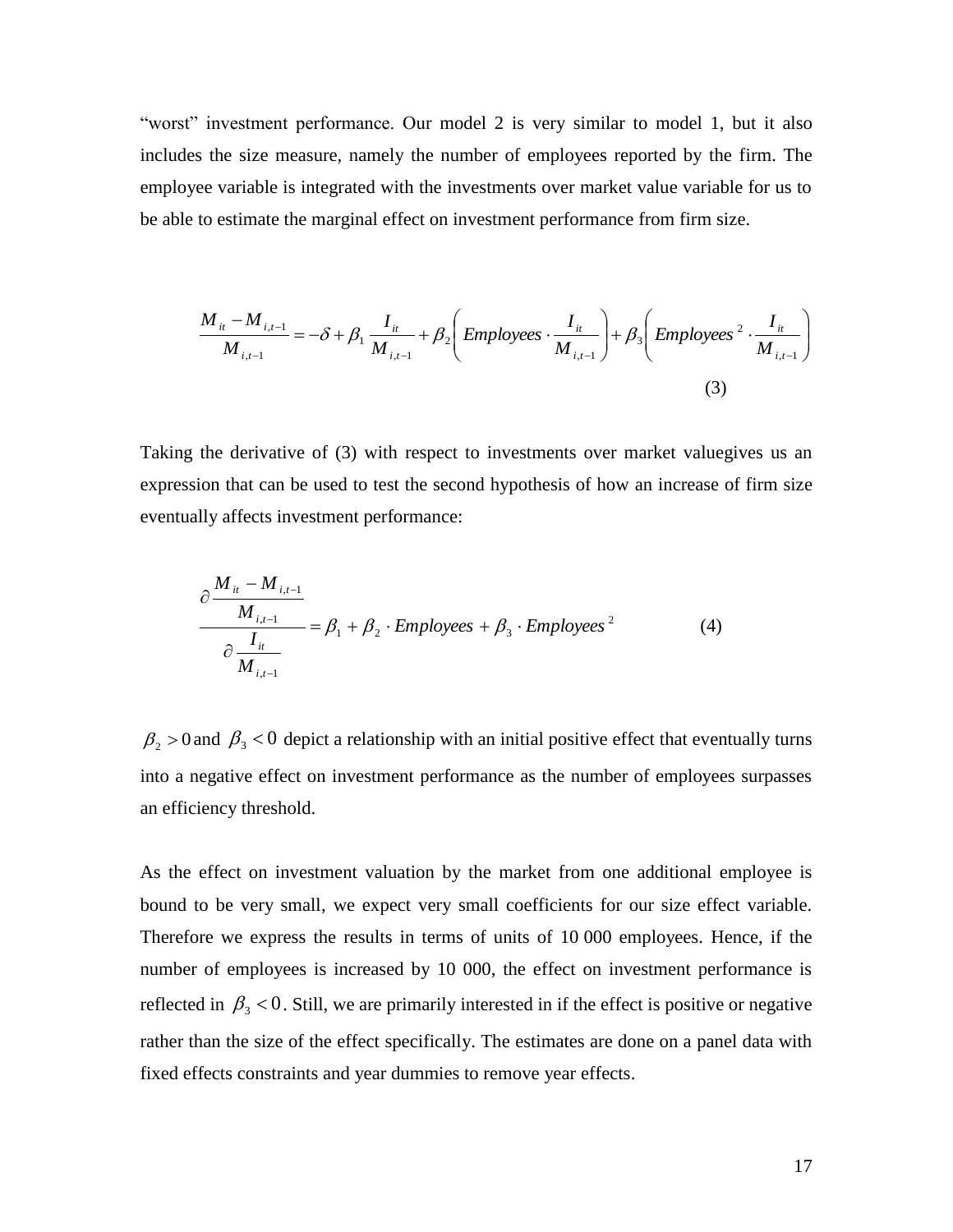"worst" investment performance. Our model 2 is very similar to model 1, but it also includes the size measure, namely the number of employees reported by the firm. The employee variable is integrated with the investments over market value variable for us to be able to estimate the marginal effect on investment performance from firm size.

$$
\frac{M_{it} - M_{i,t-1}}{M_{i,t-1}} = -\delta + \beta_1 \frac{I_{it}}{M_{i,t-1}} + \beta_2 \left( \text{Employee } \frac{I_{it}}{M_{i,t-1}} \right) + \beta_3 \left( \text{Employee } 2 \cdot \frac{I_{it}}{M_{i,t-1}} \right)
$$
\n(3)

Taking the derivative of (3) with respect to investments over market valuegives us an expression that can be used to test the second hypothesis of how an increase of firm size eventually affects investment performance:

$$
\frac{\partial \frac{M_{ii} - M_{i,t-1}}{M_{i,t-1}}}{\partial \frac{I_{it}}{M_{i,t-1}}} = \beta_1 + \beta_2 \cdot \text{Employees} + \beta_3 \cdot \text{Employees}^2 \tag{4}
$$

 $\beta_2 > 0$  and  $\beta_3 < 0$  depict a relationship with an initial positive effect that eventually turns into a negative effect on investment performance as the number of employees surpasses an efficiency threshold.

As the effect on investment valuation by the market from one additional employee is bound to be very small, we expect very small coefficients for our size effect variable. Therefore we express the results in terms of units of 10 000 employees. Hence, if the number of employees is increased by 10 000, the effect on investment performance is reflected in  $\beta_3$  < 0. Still, we are primarily interested in if the effect is positive or negative rather than the size of the effect specifically. The estimates are done on a panel data with fixed effects constraints and year dummies to remove year effects.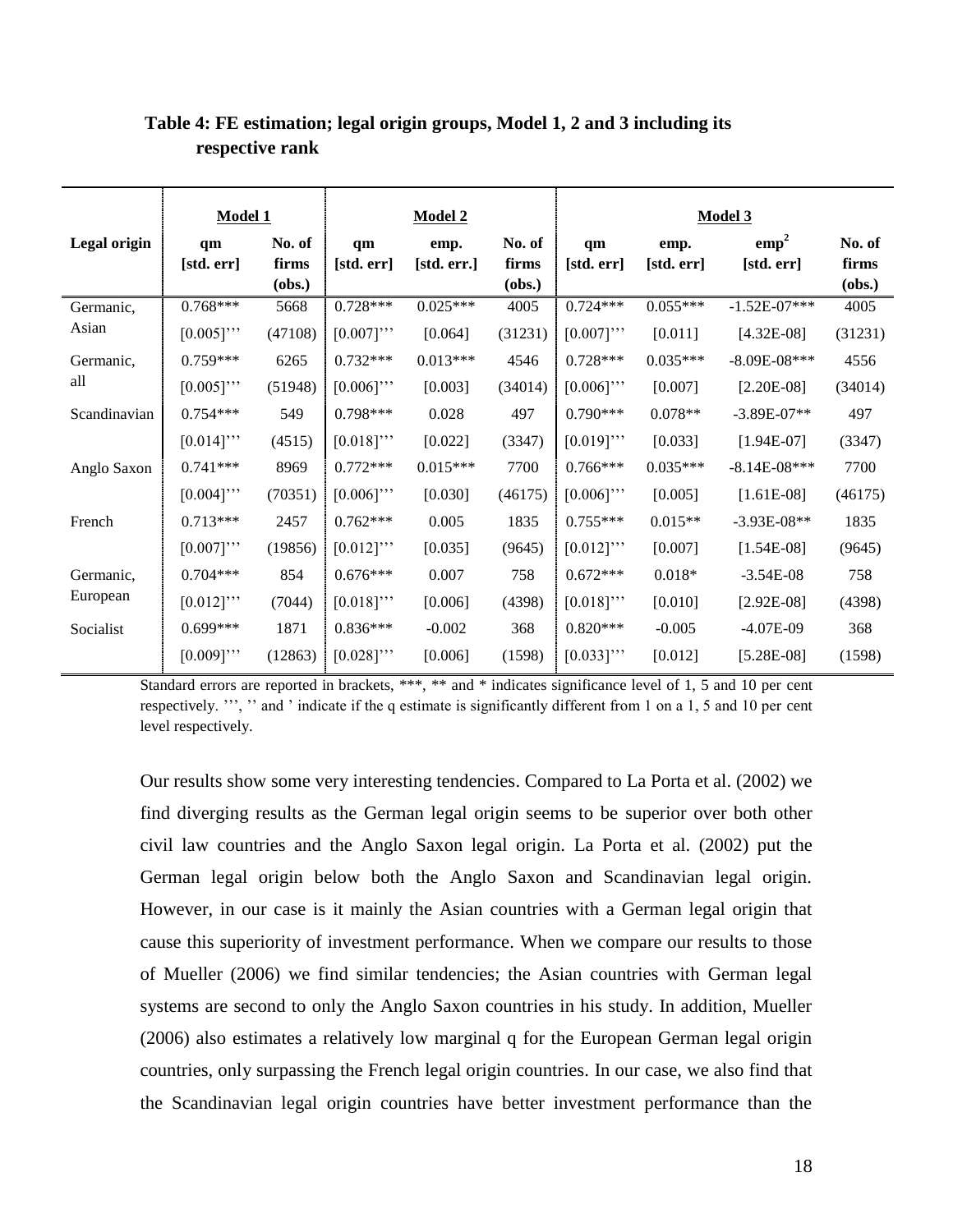|              | <b>Model 1</b>   |                           |                  | <b>Model 2</b>      |                           | Model 3          |                    |                                |                           |
|--------------|------------------|---------------------------|------------------|---------------------|---------------------------|------------------|--------------------|--------------------------------|---------------------------|
| Legal origin | qm<br>[std. err] | No. of<br>firms<br>(obs.) | qm<br>[std. err] | emp.<br>[std. err.] | No. of<br>firms<br>(obs.) | qm<br>[std. err] | emp.<br>[std. err] | emp <sup>2</sup><br>[std. err] | No. of<br>firms<br>(obs.) |
| Germanic,    | $0.768***$       | 5668                      | $0.728***$       | $0.025***$          | 4005                      | $0.724***$       | $0.055***$         | $-1.52E-07***$                 | 4005                      |
| Asian        | $[0.005]$ "      | (47108)                   | $[0.007]$ "      | [0.064]             | (31231)                   | $[0.007]$ "      | [0.011]            | $[4.32E-08]$                   | (31231)                   |
| Germanic,    | $0.759***$       | 6265                      | $0.732***$       | $0.013***$          | 4546                      | $0.728***$       | $0.035***$         | $-8.09E - 08$ ***              | 4556                      |
| all          | $[0.005]$ "      | (51948)                   | $[0.006]$ "      | [0.003]             | (34014)                   | $[0.006]$ "      | [0.007]            | $[2.20E-08]$                   | (34014)                   |
| Scandinavian | $0.754***$       | 549                       | $0.798***$       | 0.028               | 497                       | $0.790***$       | $0.078**$          | $-3.89E - 07**$                | 497                       |
|              | $[0.014]$ "      | (4515)                    | $[0.018]$ "      | [0.022]             | (3347)                    | $[0.019]$ "      | [0.033]            | $[1.94E-07]$                   | (3347)                    |
| Anglo Saxon  | $0.741***$       | 8969                      | $0.772***$       | $0.015***$          | 7700                      | $0.766***$       | $0.035***$         | $-8.14E-08***$                 | 7700                      |
|              | $[0.004]$ "      | (70351)                   | $[0.006]$ "      | [0.030]             | (46175)                   | $[0.006]$ "      | [0.005]            | $[1.61E-08]$                   | (46175)                   |
| French       | $0.713***$       | 2457                      | $0.762***$       | 0.005               | 1835                      | $0.755***$       | $0.015**$          | $-3.93E-08**$                  | 1835                      |
|              | $[0.007]$ "      | (19856)                   | $[0.012]$ "      | [0.035]             | (9645)                    | $[0.012]$ "      | [0.007]            | $[1.54E-08]$                   | (9645)                    |
| Germanic,    | $0.704***$       | 854                       | $0.676***$       | 0.007               | 758                       | $0.672***$       | $0.018*$           | $-3.54E-08$                    | 758                       |
| European     | $[0.012]$ "      | (7044)                    | $[0.018]$ "      | [0.006]             | (4398)                    | $[0.018]$ "      | [0.010]            | $[2.92E-08]$                   | (4398)                    |
| Socialist    | $0.699***$       | 1871                      | $0.836***$       | $-0.002$            | 368                       | $0.820***$       | $-0.005$           | $-4.07E-09$                    | 368                       |
|              | $[0.009]$ "      | (12863)                   | $[0.028]$ "      | [0.006]             | (1598)                    | $[0.033]$ "      | [0.012]            | $[5.28E-08]$                   | (1598)                    |

### **Table 4: FE estimation; legal origin groups, Model 1, 2 and 3 including its respective rank**

Standard errors are reported in brackets, \*\*\*, \*\* and \* indicates significance level of 1, 5 and 10 per cent respectively. "', " and ' indicate if the q estimate is significantly different from 1 on a 1, 5 and 10 per cent level respectively.

Our results show some very interesting tendencies. Compared to La Porta et al. [\(2002\)](#page-25-5) we find diverging results as the German legal origin seems to be superior over both other civil law countries and the Anglo Saxon legal origin. La Porta et al. [\(2002\)](#page-25-5) put the German legal origin below both the Anglo Saxon and Scandinavian legal origin. However, in our case is it mainly the Asian countries with a German legal origin that cause this superiority of investment performance. When we compare our results to those of Mueller [\(2006\)](#page-26-1) we find similar tendencies; the Asian countries with German legal systems are second to only the Anglo Saxon countries in his study. In addition, Mueller (2006) also estimates a relatively low marginal q for the European German legal origin countries, only surpassing the French legal origin countries. In our case, we also find that the Scandinavian legal origin countries have better investment performance than the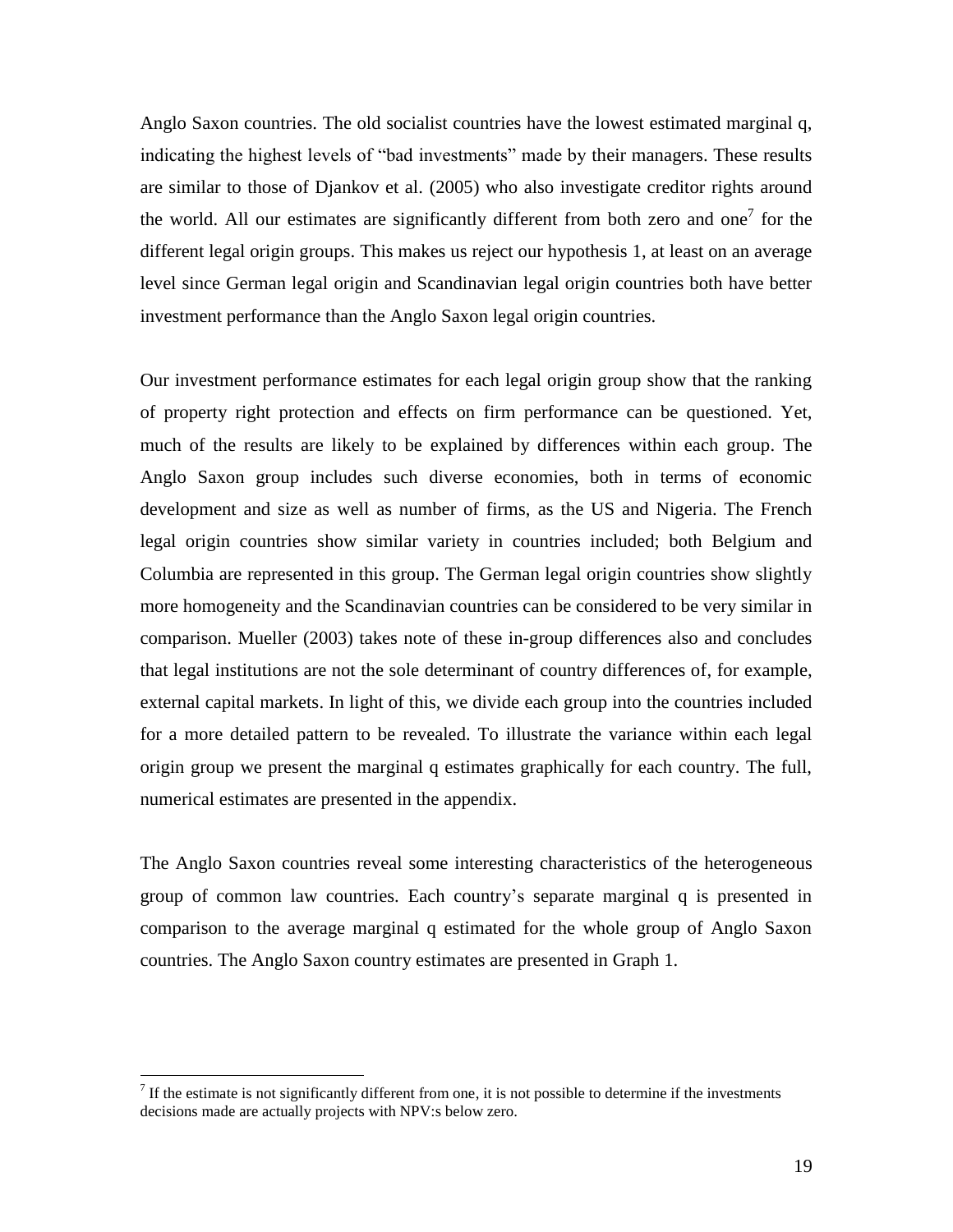Anglo Saxon countries. The old socialist countries have the lowest estimated marginal q, indicating the highest levels of "bad investments" made by their managers. These results are similar to those of Djankov et al. [\(2005\)](#page-25-17) who also investigate creditor rights around the world. All our estimates are significantly different from both zero and one<sup>7</sup> for the different legal origin groups. This makes us reject our hypothesis 1, at least on an average level since German legal origin and Scandinavian legal origin countries both have better investment performance than the Anglo Saxon legal origin countries.

Our investment performance estimates for each legal origin group show that the ranking of property right protection and effects on firm performance can be questioned. Yet, much of the results are likely to be explained by differences within each group. The Anglo Saxon group includes such diverse economies, both in terms of economic development and size as well as number of firms, as the US and Nigeria. The French legal origin countries show similar variety in countries included; both Belgium and Columbia are represented in this group. The German legal origin countries show slightly more homogeneity and the Scandinavian countries can be considered to be very similar in comparison. Mueller [\(2003\)](#page-25-18) takes note of these in-group differences also and concludes that legal institutions are not the sole determinant of country differences of, for example, external capital markets. In light of this, we divide each group into the countries included for a more detailed pattern to be revealed. To illustrate the variance within each legal origin group we present the marginal q estimates graphically for each country. The full, numerical estimates are presented in the appendix.

The Anglo Saxon countries reveal some interesting characteristics of the heterogeneous group of common law countries. Each country's separate marginal q is presented in comparison to the average marginal q estimated for the whole group of Anglo Saxon countries. The Anglo Saxon country estimates are presented in Graph 1.

 $<sup>7</sup>$  If the estimate is not significantly different from one, it is not possible to determine if the investments</sup> decisions made are actually projects with NPV:s below zero.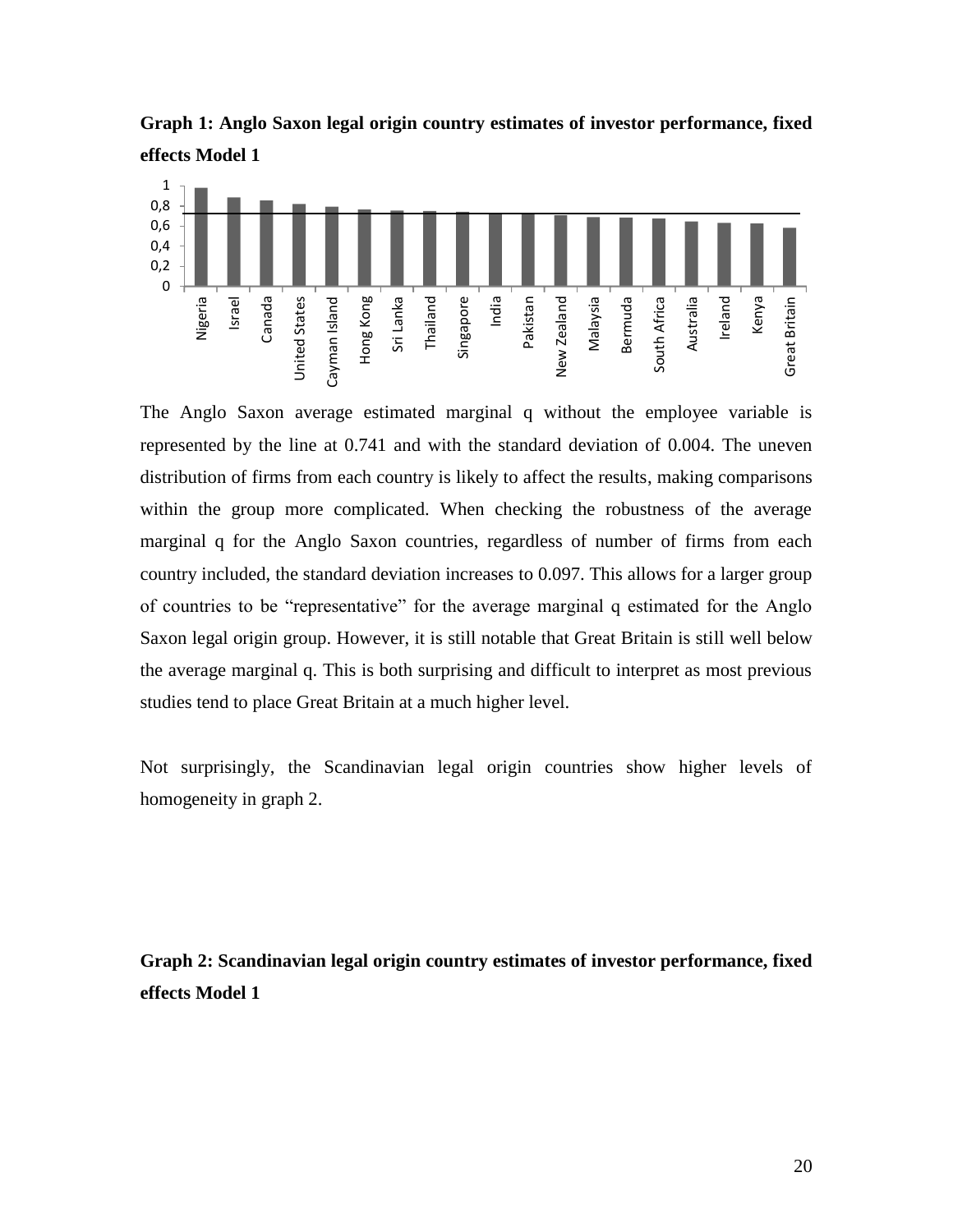**Graph 1: Anglo Saxon legal origin country estimates of investor performance, fixed effects Model 1**



The Anglo Saxon average estimated marginal q without the employee variable is represented by the line at 0.741 and with the standard deviation of 0.004. The uneven distribution of firms from each country is likely to affect the results, making comparisons within the group more complicated. When checking the robustness of the average marginal q for the Anglo Saxon countries, regardless of number of firms from each country included, the standard deviation increases to 0.097. This allows for a larger group of countries to be "representative" for the average marginal q estimated for the Anglo Saxon legal origin group. However, it is still notable that Great Britain is still well below the average marginal q. This is both surprising and difficult to interpret as most previous studies tend to place Great Britain at a much higher level.

Not surprisingly, the Scandinavian legal origin countries show higher levels of homogeneity in graph 2.

**Graph 2: Scandinavian legal origin country estimates of investor performance, fixed effects Model 1**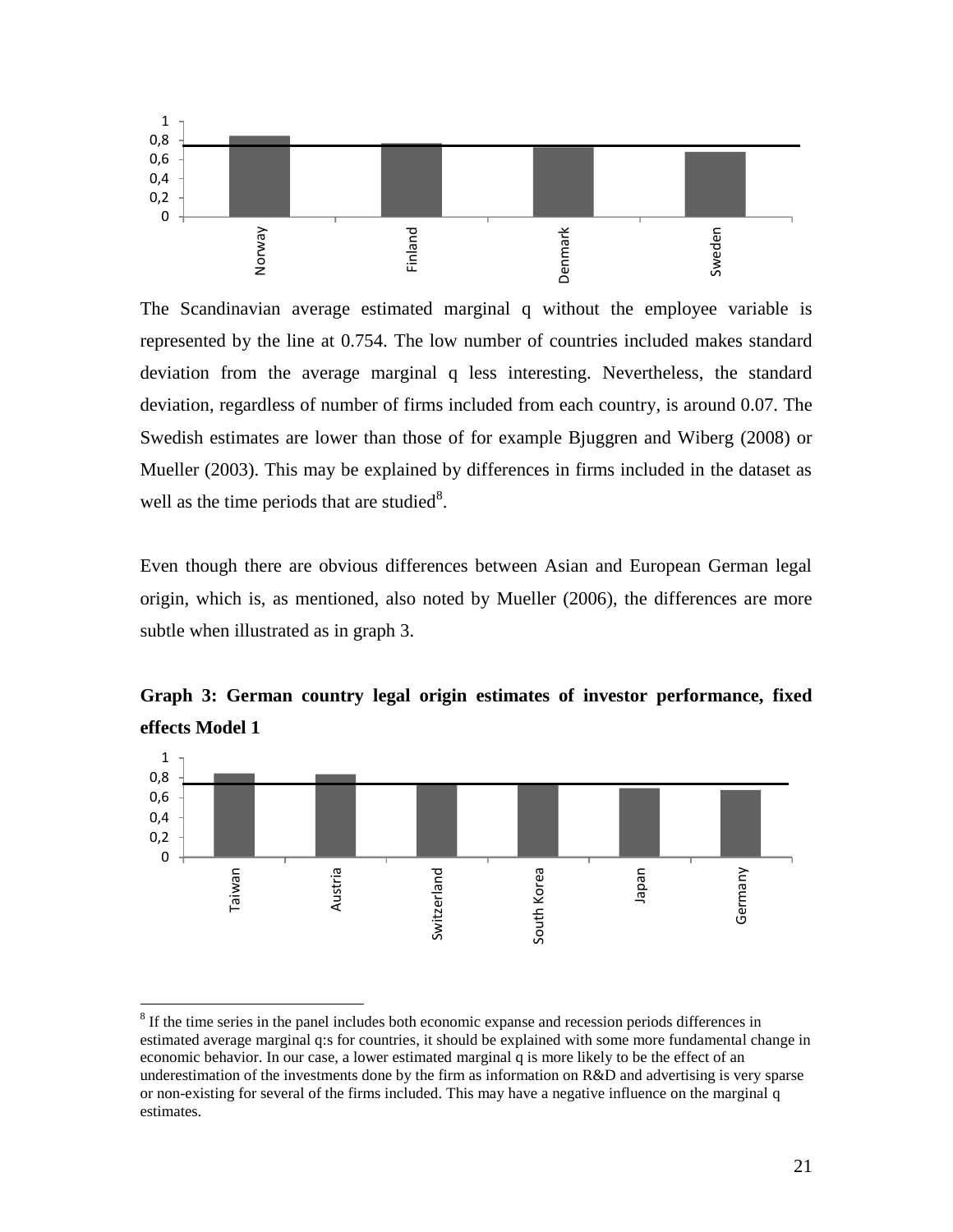

The Scandinavian average estimated marginal q without the employee variable is represented by the line at 0.754. The low number of countries included makes standard deviation from the average marginal q less interesting. Nevertheless, the standard deviation, regardless of number of firms included from each country, is around 0.07. The Swedish estimates are lower than those of for example Bjuggren and Wiberg [\(2008\)](#page-25-16) or Mueller [\(2003\)](#page-25-18). This may be explained by differences in firms included in the dataset as well as the time periods that are studied<sup>8</sup>.

Even though there are obvious differences between Asian and European German legal origin, which is, as mentioned, also noted by Mueller [\(2006\)](#page-26-1), the differences are more subtle when illustrated as in graph 3.



**Graph 3: German country legal origin estimates of investor performance, fixed effects Model 1**

<sup>&</sup>lt;sup>8</sup> If the time series in the panel includes both economic expanse and recession periods differences in estimated average marginal q:s for countries, it should be explained with some more fundamental change in economic behavior. In our case, a lower estimated marginal q is more likely to be the effect of an underestimation of the investments done by the firm as information on R&D and advertising is very sparse or non-existing for several of the firms included. This may have a negative influence on the marginal q estimates.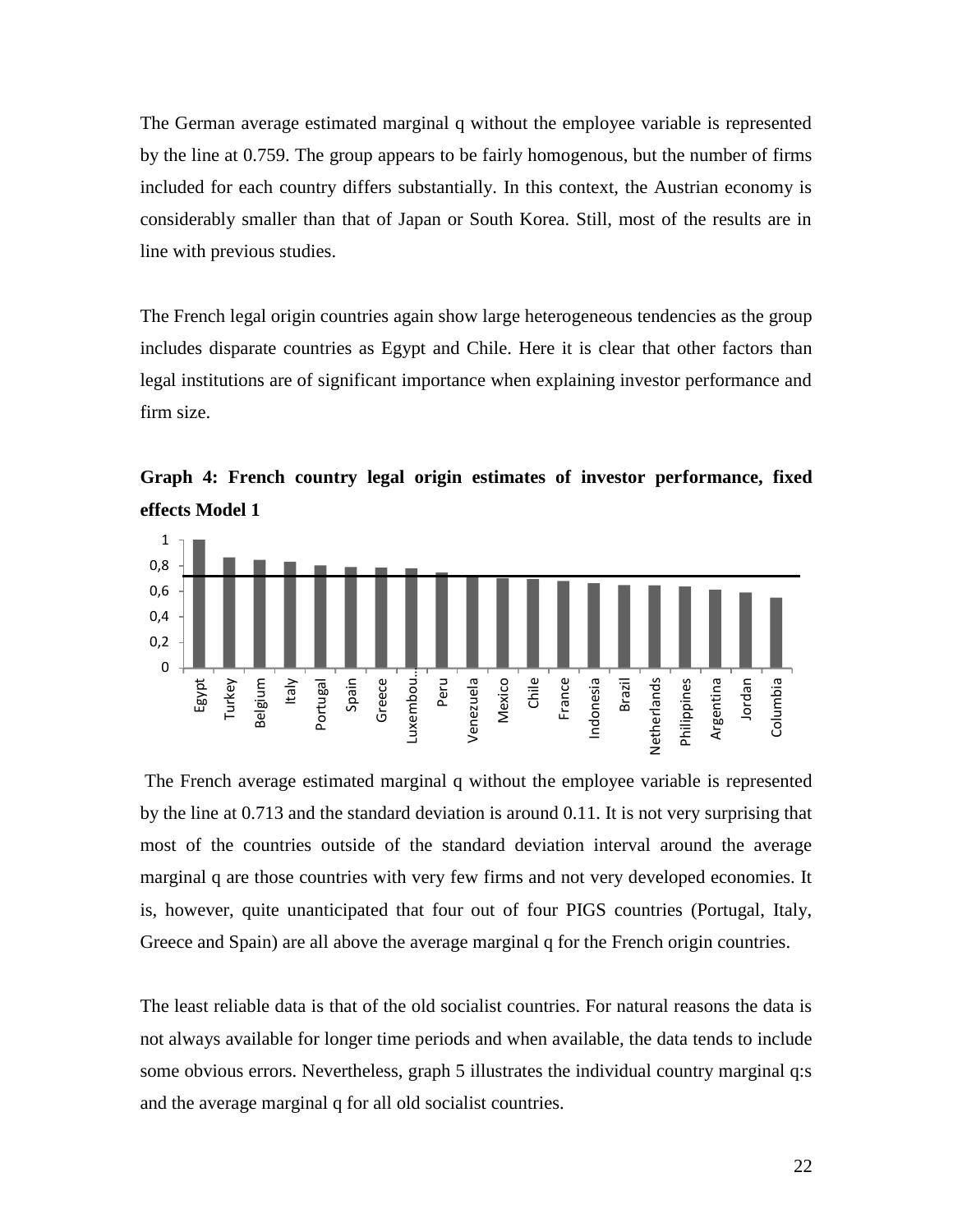The German average estimated marginal q without the employee variable is represented by the line at 0.759. The group appears to be fairly homogenous, but the number of firms included for each country differs substantially. In this context, the Austrian economy is considerably smaller than that of Japan or South Korea. Still, most of the results are in line with previous studies.

The French legal origin countries again show large heterogeneous tendencies as the group includes disparate countries as Egypt and Chile. Here it is clear that other factors than legal institutions are of significant importance when explaining investor performance and firm size.



**Graph 4: French country legal origin estimates of investor performance, fixed effects Model 1**

The French average estimated marginal q without the employee variable is represented by the line at 0.713 and the standard deviation is around 0.11. It is not very surprising that most of the countries outside of the standard deviation interval around the average marginal q are those countries with very few firms and not very developed economies. It is, however, quite unanticipated that four out of four PIGS countries (Portugal, Italy, Greece and Spain) are all above the average marginal q for the French origin countries.

The least reliable data is that of the old socialist countries. For natural reasons the data is not always available for longer time periods and when available, the data tends to include some obvious errors. Nevertheless, graph 5 illustrates the individual country marginal q:s and the average marginal q for all old socialist countries.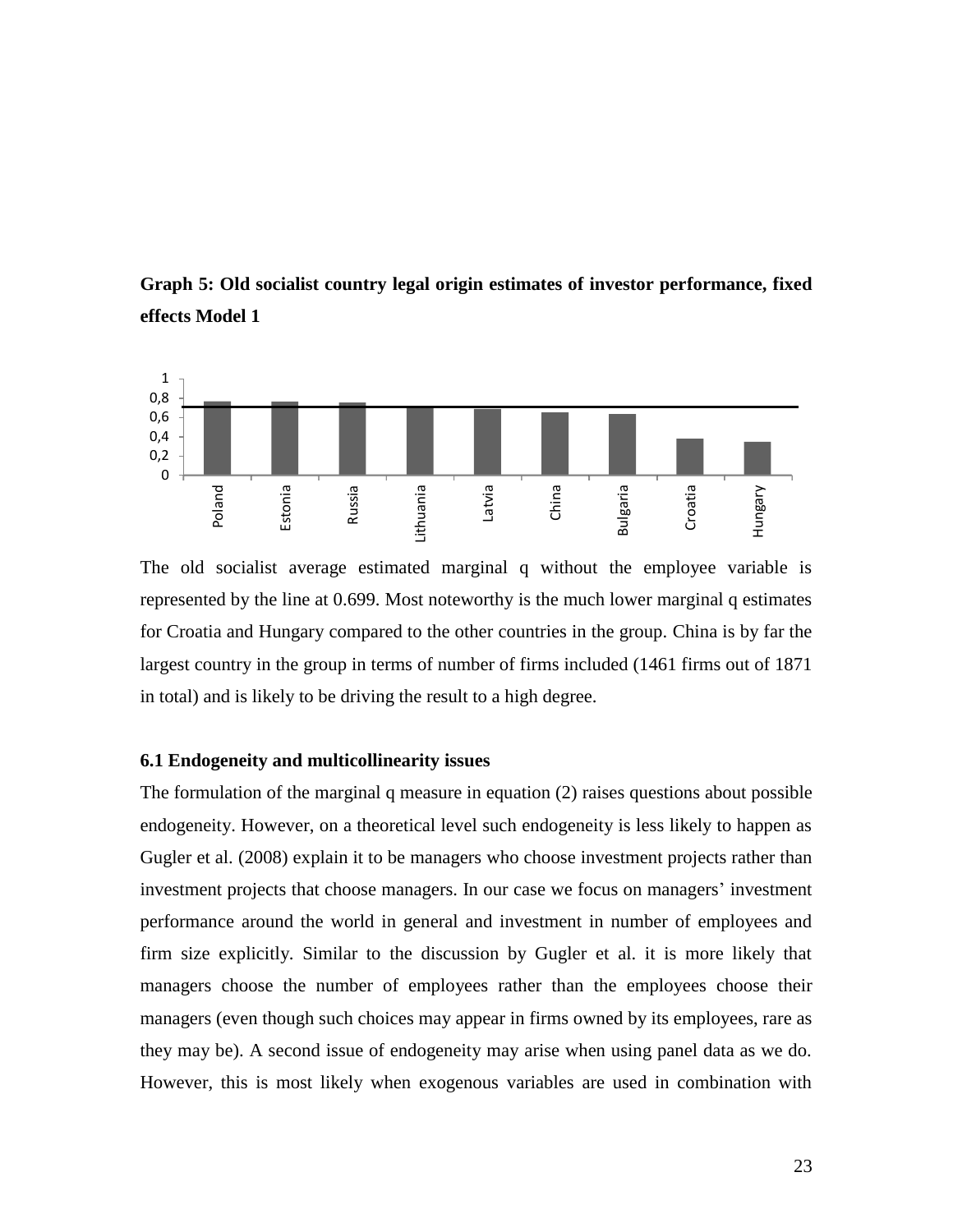



The old socialist average estimated marginal q without the employee variable is represented by the line at 0.699. Most noteworthy is the much lower marginal q estimates for Croatia and Hungary compared to the other countries in the group. China is by far the largest country in the group in terms of number of firms included (1461 firms out of 1871 in total) and is likely to be driving the result to a high degree.

#### **6.1 Endogeneity and multicollinearity issues**

The formulation of the marginal q measure in equation (2) raises questions about possible endogeneity. However, on a theoretical level such endogeneity is less likely to happen as Gugler et al. [\(2008\)](#page-25-19) explain it to be managers who choose investment projects rather than investment projects that choose managers. In our case we focus on managers' investment performance around the world in general and investment in number of employees and firm size explicitly. Similar to the discussion by Gugler et al. it is more likely that managers choose the number of employees rather than the employees choose their managers (even though such choices may appear in firms owned by its employees, rare as they may be). A second issue of endogeneity may arise when using panel data as we do. However, this is most likely when exogenous variables are used in combination with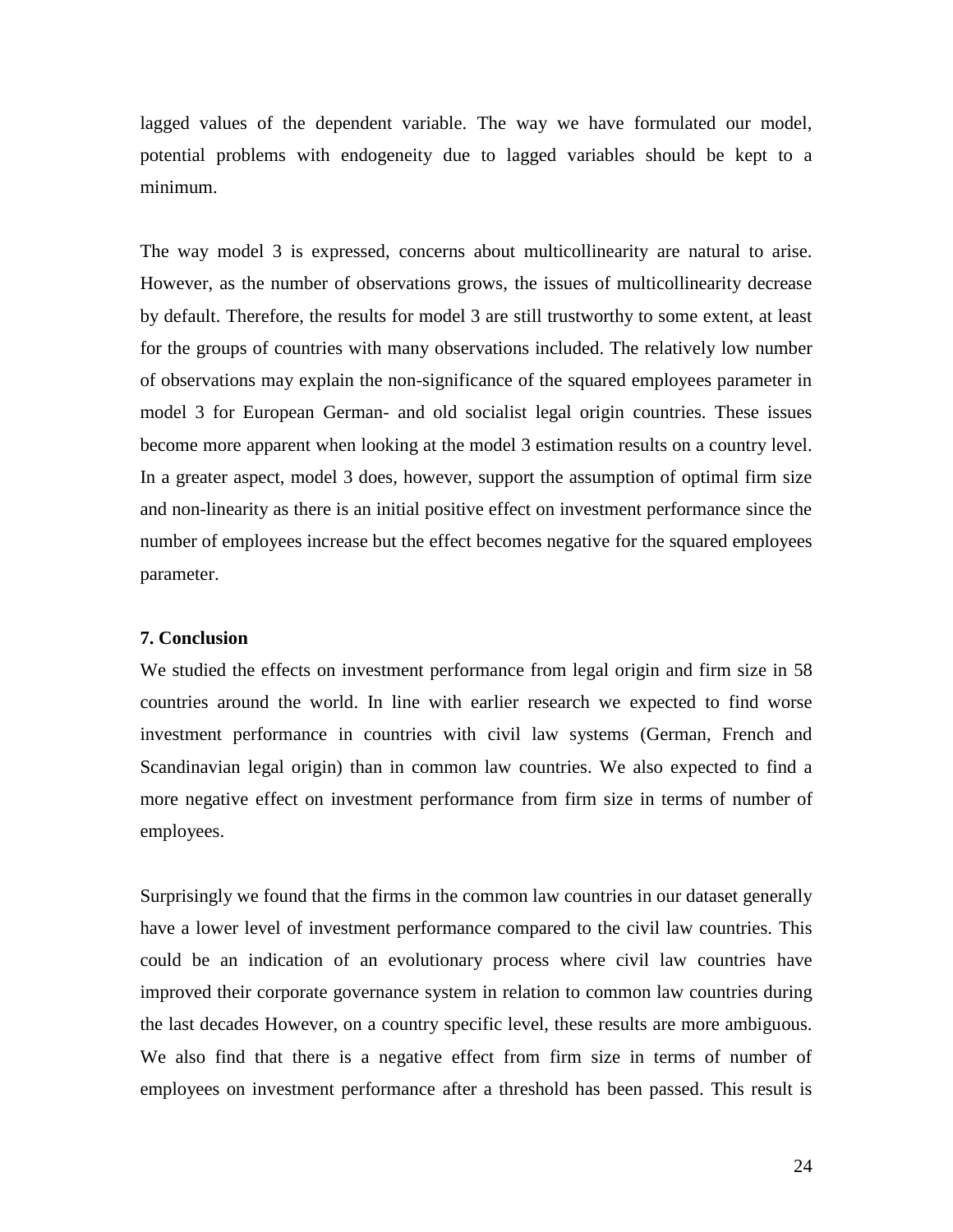lagged values of the dependent variable. The way we have formulated our model, potential problems with endogeneity due to lagged variables should be kept to a minimum.

The way model 3 is expressed, concerns about multicollinearity are natural to arise. However, as the number of observations grows, the issues of multicollinearity decrease by default. Therefore, the results for model 3 are still trustworthy to some extent, at least for the groups of countries with many observations included. The relatively low number of observations may explain the non-significance of the squared employees parameter in model 3 for European German- and old socialist legal origin countries. These issues become more apparent when looking at the model 3 estimation results on a country level. In a greater aspect, model 3 does, however, support the assumption of optimal firm size and non-linearity as there is an initial positive effect on investment performance since the number of employees increase but the effect becomes negative for the squared employees parameter.

#### **7. Conclusion**

We studied the effects on investment performance from legal origin and firm size in 58 countries around the world. In line with earlier research we expected to find worse investment performance in countries with civil law systems (German, French and Scandinavian legal origin) than in common law countries. We also expected to find a more negative effect on investment performance from firm size in terms of number of employees.

Surprisingly we found that the firms in the common law countries in our dataset generally have a lower level of investment performance compared to the civil law countries. This could be an indication of an evolutionary process where civil law countries have improved their corporate governance system in relation to common law countries during the last decades However, on a country specific level, these results are more ambiguous. We also find that there is a negative effect from firm size in terms of number of employees on investment performance after a threshold has been passed. This result is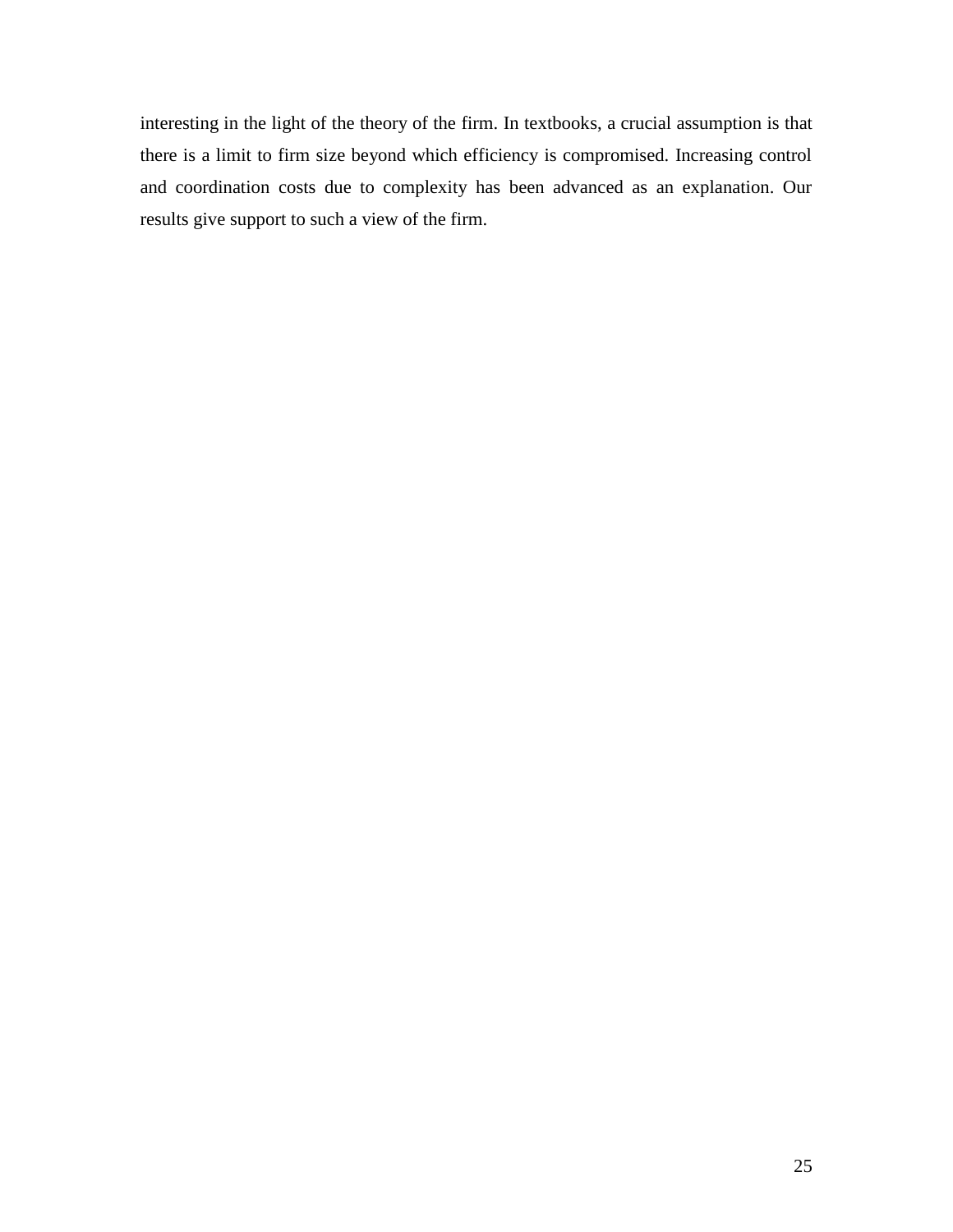interesting in the light of the theory of the firm. In textbooks, a crucial assumption is that there is a limit to firm size beyond which efficiency is compromised. Increasing control and coordination costs due to complexity has been advanced as an explanation. Our results give support to such a view of the firm.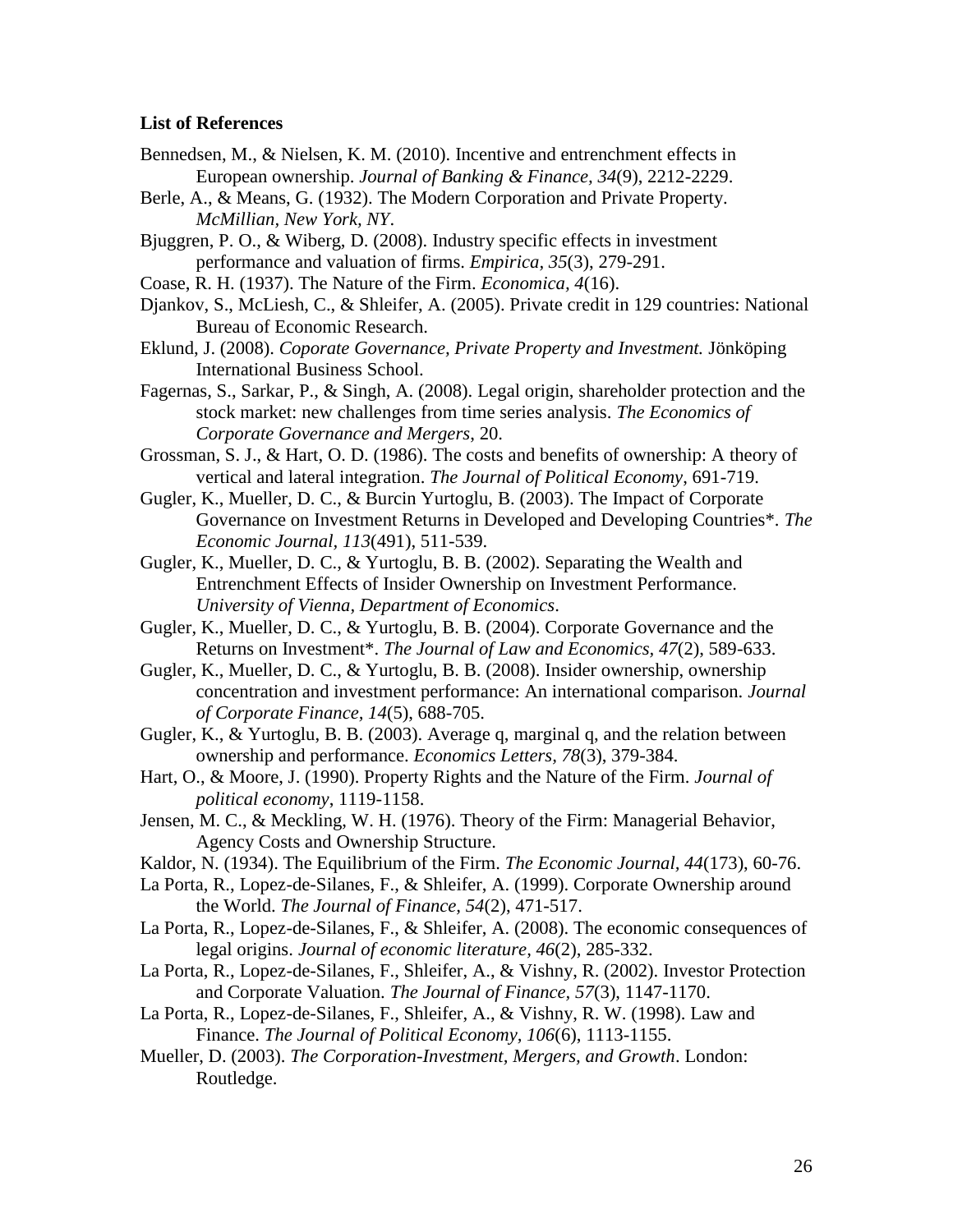#### **List of References**

- <span id="page-25-3"></span>Bennedsen, M., & Nielsen, K. M. (2010). Incentive and entrenchment effects in European ownership. *Journal of Banking & Finance, 34*(9), 2212-2229.
- <span id="page-25-4"></span>Berle, A., & Means, G. (1932). The Modern Corporation and Private Property. *McMillian, New York, NY*.
- <span id="page-25-16"></span>Bjuggren, P. O., & Wiberg, D. (2008). Industry specific effects in investment performance and valuation of firms. *Empirica, 35*(3), 279-291.
- <span id="page-25-2"></span>Coase, R. H. (1937). The Nature of the Firm. *Economica, 4*(16).
- <span id="page-25-17"></span>Djankov, S., McLiesh, C., & Shleifer, A. (2005). Private credit in 129 countries: National Bureau of Economic Research.
- <span id="page-25-14"></span>Eklund, J. (2008). *Coporate Governance, Private Property and Investment.* Jönköping International Business School.
- <span id="page-25-1"></span>Fagernas, S., Sarkar, P., & Singh, A. (2008). Legal origin, shareholder protection and the stock market: new challenges from time series analysis. *The Economics of Corporate Governance and Mergers*, 20.
- <span id="page-25-11"></span>Grossman, S. J., & Hart, O. D. (1986). The costs and benefits of ownership: A theory of vertical and lateral integration. *The Journal of Political Economy*, 691-719.
- <span id="page-25-6"></span>Gugler, K., Mueller, D. C., & Burcin Yurtoglu, B. (2003). The Impact of Corporate Governance on Investment Returns in Developed and Developing Countries\*. *The Economic Journal, 113*(491), 511-539.
- <span id="page-25-15"></span>Gugler, K., Mueller, D. C., & Yurtoglu, B. B. (2002). Separating the Wealth and Entrenchment Effects of Insider Ownership on Investment Performance. *University of Vienna, Department of Economics*.
- <span id="page-25-7"></span>Gugler, K., Mueller, D. C., & Yurtoglu, B. B. (2004). Corporate Governance and the Returns on Investment\*. *The Journal of Law and Economics, 47*(2), 589-633.
- <span id="page-25-19"></span>Gugler, K., Mueller, D. C., & Yurtoglu, B. B. (2008). Insider ownership, ownership concentration and investment performance: An international comparison. *Journal of Corporate Finance, 14*(5), 688-705.
- <span id="page-25-8"></span>Gugler, K., & Yurtoglu, B. B. (2003). Average q, marginal q, and the relation between ownership and performance. *Economics Letters, 78*(3), 379-384.
- <span id="page-25-12"></span>Hart, O., & Moore, J. (1990). Property Rights and the Nature of the Firm. *Journal of political economy*, 1119-1158.
- <span id="page-25-13"></span>Jensen, M. C., & Meckling, W. H. (1976). Theory of the Firm: Managerial Behavior, Agency Costs and Ownership Structure.
- <span id="page-25-10"></span>Kaldor, N. (1934). The Equilibrium of the Firm. *The Economic Journal, 44*(173), 60-76.
- La Porta, R., Lopez-de-Silanes, F., & Shleifer, A. (1999). Corporate Ownership around the World. *The Journal of Finance, 54*(2), 471-517.
- <span id="page-25-9"></span>La Porta, R., Lopez-de-Silanes, F., & Shleifer, A. (2008). The economic consequences of legal origins. *Journal of economic literature, 46*(2), 285-332.
- <span id="page-25-5"></span>La Porta, R., Lopez-de-Silanes, F., Shleifer, A., & Vishny, R. (2002). Investor Protection and Corporate Valuation. *The Journal of Finance, 57*(3), 1147-1170.
- <span id="page-25-0"></span>La Porta, R., Lopez-de-Silanes, F., Shleifer, A., & Vishny, R. W. (1998). Law and Finance. *The Journal of Political Economy, 106*(6), 1113-1155.
- <span id="page-25-18"></span>Mueller, D. (2003). *The Corporation-Investment, Mergers, and Growth*. London: Routledge.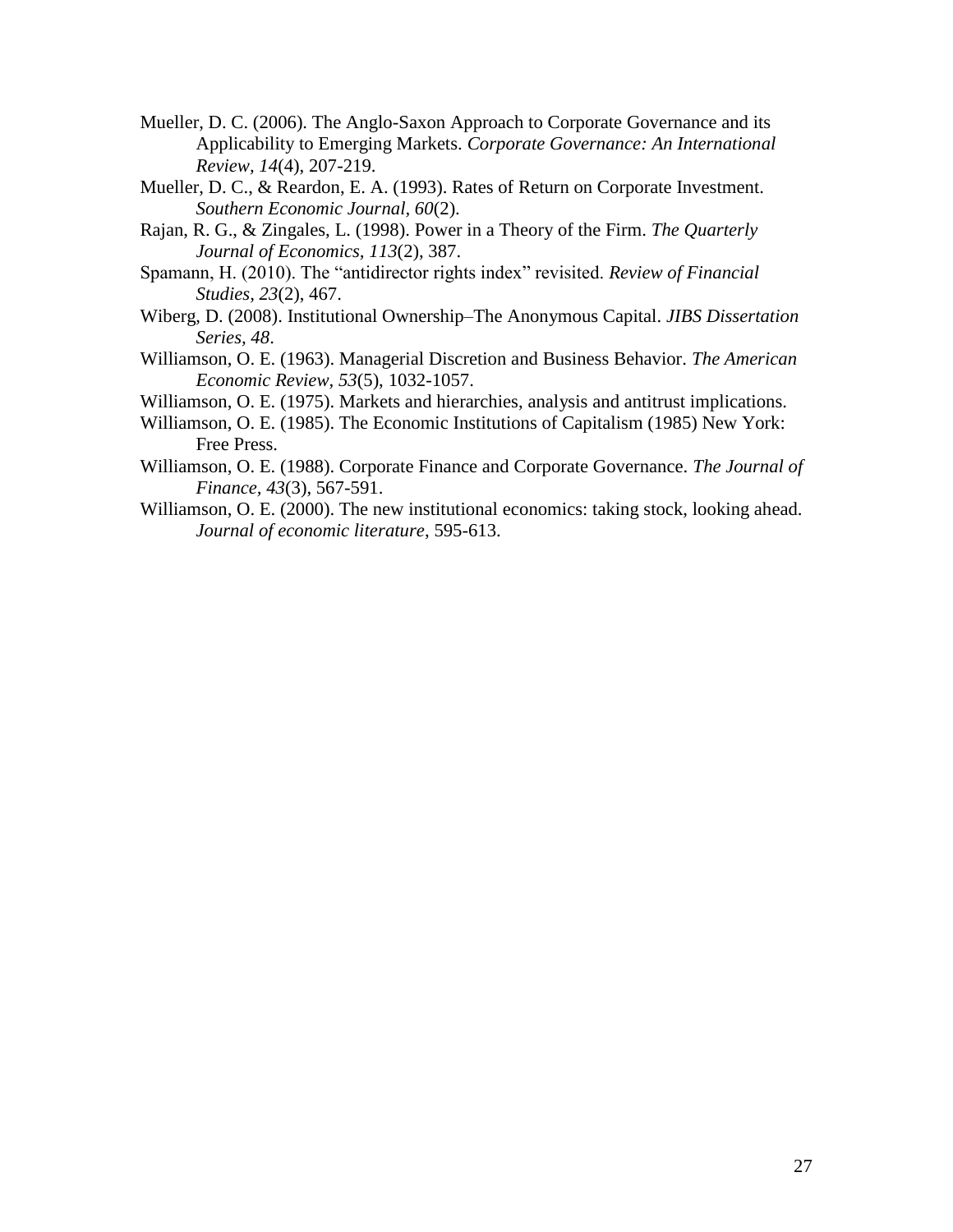- <span id="page-26-1"></span>Mueller, D. C. (2006). The Anglo-Saxon Approach to Corporate Governance and its Applicability to Emerging Markets. *Corporate Governance: An International Review, 14*(4), 207-219.
- <span id="page-26-8"></span>Mueller, D. C., & Reardon, E. A. (1993). Rates of Return on Corporate Investment. *Southern Economic Journal, 60*(2).
- <span id="page-26-7"></span>Rajan, R. G., & Zingales, L. (1998). Power in a Theory of the Firm. *The Quarterly Journal of Economics, 113*(2), 387.
- <span id="page-26-3"></span>Spamann, H. (2010). The "antidirector rights index" revisited. *Review of Financial Studies, 23*(2), 467.
- <span id="page-26-9"></span>Wiberg, D. (2008). Institutional Ownership–The Anonymous Capital. *JIBS Dissertation Series, 48*.
- <span id="page-26-0"></span>Williamson, O. E. (1963). Managerial Discretion and Business Behavior. *The American Economic Review, 53*(5), 1032-1057.
- <span id="page-26-4"></span>Williamson, O. E. (1975). Markets and hierarchies, analysis and antitrust implications.
- <span id="page-26-5"></span>Williamson, O. E. (1985). The Economic Institutions of Capitalism (1985) New York: Free Press.
- <span id="page-26-6"></span>Williamson, O. E. (1988). Corporate Finance and Corporate Governance. *The Journal of Finance, 43*(3), 567-591.
- <span id="page-26-2"></span>Williamson, O. E. (2000). The new institutional economics: taking stock, looking ahead. *Journal of economic literature*, 595-613.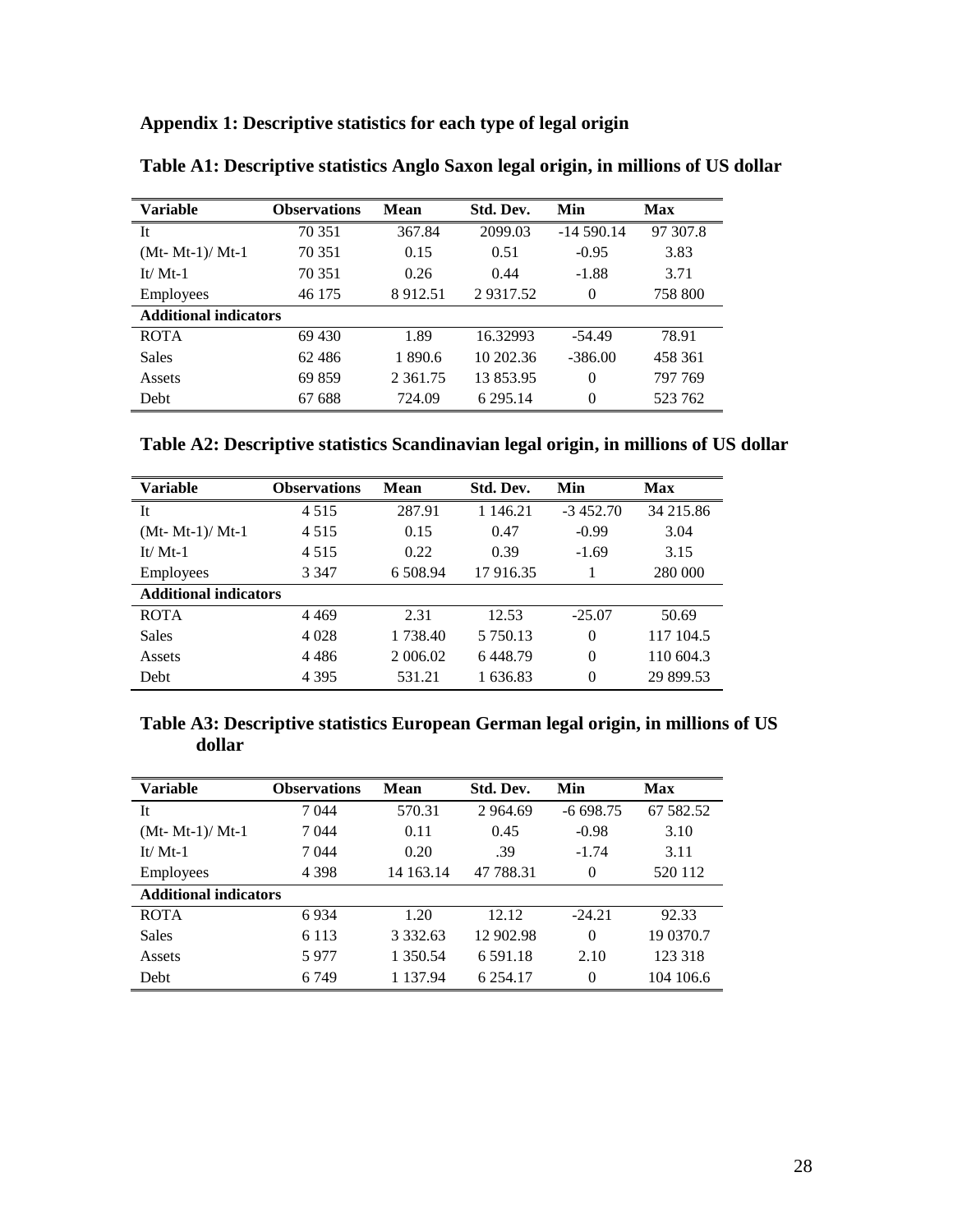| Appendix 1: Descriptive statistics for each type of legal origin |  |  |  |  |  |
|------------------------------------------------------------------|--|--|--|--|--|
|------------------------------------------------------------------|--|--|--|--|--|

| <b>Variable</b>              | <b>Observations</b> | <b>Mean</b>   | Std. Dev. | Min         | Max      |
|------------------------------|---------------------|---------------|-----------|-------------|----------|
| It                           | 70 351              | 367.84        | 2099.03   | $-14590.14$ | 97 307.8 |
| $(Mt- Mt-1)/Mt-1$            | 70 351              | 0.15          | 0.51      | $-0.95$     | 3.83     |
| It/ $Mt-1$                   | 70 351              | 0.26          | 0.44      | $-1.88$     | 3.71     |
| Employees                    | 46 175              | 8912.51       | 29317.52  | $\Omega$    | 758 800  |
| <b>Additional indicators</b> |                     |               |           |             |          |
| <b>ROTA</b>                  | 69 430              | 1.89          | 16.32993  | $-54.49$    | 78.91    |
| <b>Sales</b>                 | 62486               | 1 890.6       | 10 202.36 | $-386.00$   | 458 361  |
| Assets                       | 69 859              | 2 3 6 1 . 7 5 | 13853.95  | $\Omega$    | 797 769  |
| Debt                         | 67 688              | 724.09        | 6 295.14  | $\theta$    | 523 762  |

**Table A1: Descriptive statistics Anglo Saxon legal origin, in millions of US dollar**

|  |  |  | Table A2: Descriptive statistics Scandinavian legal origin, in millions of US dollar |  |
|--|--|--|--------------------------------------------------------------------------------------|--|
|  |  |  |                                                                                      |  |

| <b>Variable</b>              | <b>Observations</b> | <b>Mean</b> | Std. Dev.     | Min        | <b>Max</b> |
|------------------------------|---------------------|-------------|---------------|------------|------------|
| It                           | 4 5 1 5             | 287.91      | 1 146.21      | $-3452.70$ | 34 215.86  |
| $(Mt- Mt-1)/Mt-1$            | 4 5 1 5             | 0.15        | 0.47          | $-0.99$    | 3.04       |
| It/ $Mt-1$                   | 4 5 1 5             | 0.22        | 0.39          | $-1.69$    | 3.15       |
| Employees                    | 3 3 4 7             | 6 508.94    | 17916.35      |            | 280 000    |
| <b>Additional indicators</b> |                     |             |               |            |            |
| <b>ROTA</b>                  | 4 4 6 9             | 2.31        | 12.53         | $-25.07$   | 50.69      |
| <b>Sales</b>                 | 4 0 2 8             | 1 738.40    | 5 7 5 0 . 1 3 | $\theta$   | 117 104.5  |
| Assets                       | 4 4 8 6             | 2 006.02    | 6448.79       | $\theta$   | 110 604.3  |
| Debt                         | 4 3 9 5             | 531.21      | 1 636.83      | $\theta$   | 29 899.53  |

## **Table A3: Descriptive statistics European German legal origin, in millions of US dollar**

| <b>Variable</b>              | <b>Observations</b> | Mean          | Std. Dev.     | Min        | Max       |
|------------------------------|---------------------|---------------|---------------|------------|-----------|
| It                           | 7 044               | 570.31        | 2 9 6 4 . 6 9 | $-6698.75$ | 67 582.52 |
| $(Mt- Mt-1)/Mt-1$            | 7 044               | 0.11          | 0.45          | $-0.98$    | 3.10      |
| $It/Mt-1$                    | 7 044               | 0.20          | .39           | $-1.74$    | 3.11      |
| Employees                    | 4 3 9 8             | 14 163.14     | 47 788.31     | 0          | 520 112   |
| <b>Additional indicators</b> |                     |               |               |            |           |
| <b>ROTA</b>                  | 6934                | 1.20          | 12.12         | $-24.21$   | 92.33     |
| Sales                        | 6 1 1 3             | 3 3 3 2 . 6 3 | 12 902.98     | $\theta$   | 19 0370.7 |
| Assets                       | 5977                | 1 350.54      | 6 5 9 1 . 1 8 | 2.10       | 123 318   |
| <b>Debt</b>                  | 6 7 4 9             | 1 1 3 7 . 9 4 | 6 2 5 4 1 7   | $\theta$   | 104 106.6 |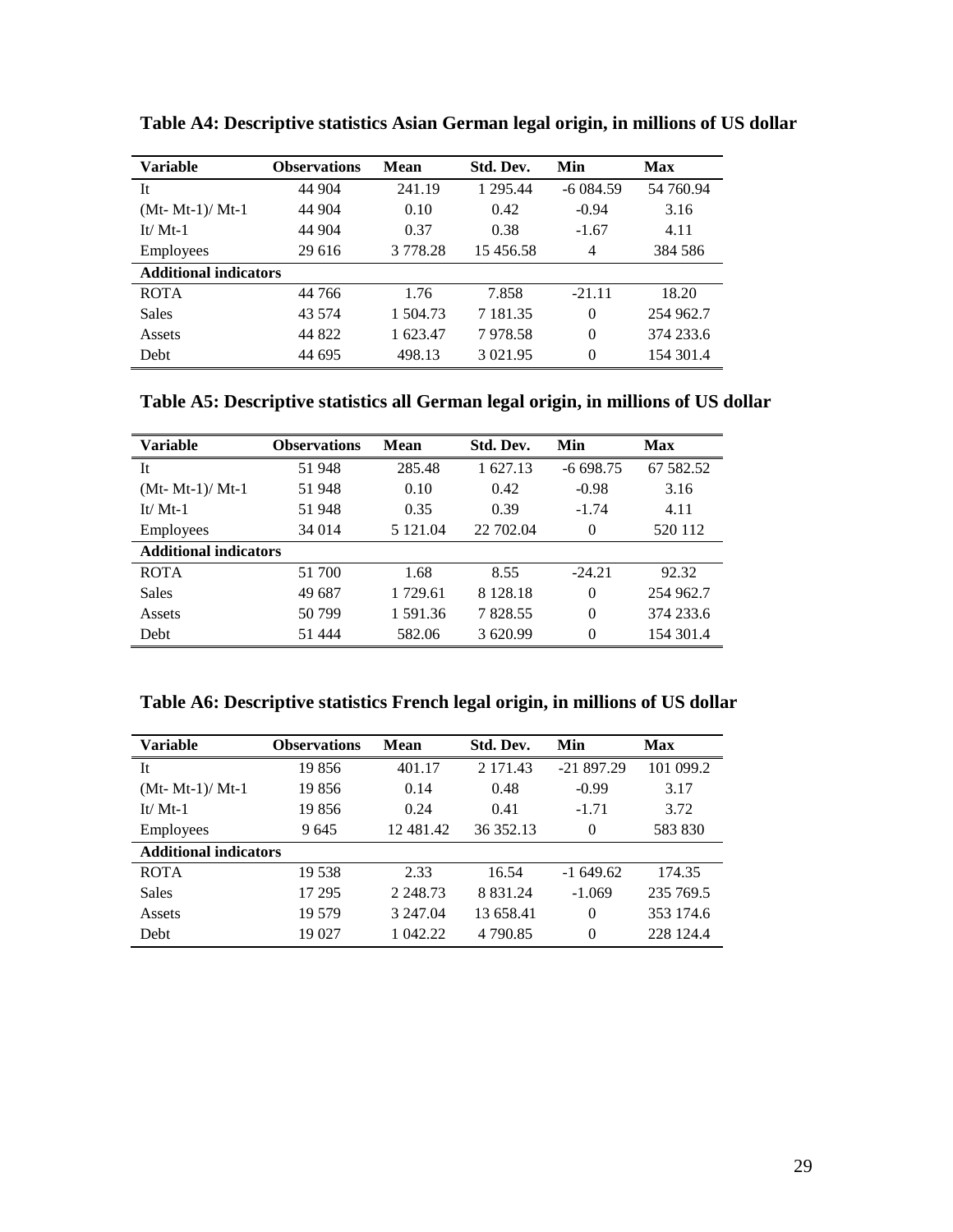| <b>Variable</b>              | <b>Observations</b> | Mean          | Std. Dev.     | Min        | Max       |
|------------------------------|---------------------|---------------|---------------|------------|-----------|
| It                           | 44 904              | 241.19        | 1 295.44      | $-6084.59$ | 54 760.94 |
| $(Mt- Mt-1)/Mt-1$            | 44 904              | 0.10          | 0.42          | $-0.94$    | 3.16      |
| It/ $Mt-1$                   | 44 904              | 0.37          | 0.38          | $-1.67$    | 4.11      |
| Employees                    | 29 616              | 3 7 7 8 . 2 8 | 15 456.58     | 4          | 384 586   |
| <b>Additional indicators</b> |                     |               |               |            |           |
| <b>ROTA</b>                  | 44 766              | 1.76          | 7.858         | $-21.11$   | 18.20     |
| <b>Sales</b>                 | 43 574              | 1 504.73      | 7 181.35      | $\theta$   | 254 962.7 |
| Assets                       | 44 822              | 1 623.47      | 7978.58       | $\theta$   | 374 233.6 |
| Debt                         | 44 695              | 498.13        | 3 0 2 1 . 9 5 | $\theta$   | 154 301.4 |

**Table A4: Descriptive statistics Asian German legal origin, in millions of US dollar**

| <b>Variable</b>              | <b>Observations</b> | <b>Mean</b> | Std. Dev.   | Min        | <b>Max</b> |
|------------------------------|---------------------|-------------|-------------|------------|------------|
| It                           | 51 948              | 285.48      | 1 627.13    | $-6698.75$ | 67 582.52  |
| $(Mt- Mt-1)/Mt-1$            | 51 948              | 0.10        | 0.42        | $-0.98$    | 3.16       |
| It/ $Mt-1$                   | 51 948              | 0.35        | 0.39        | $-1.74$    | 4.11       |
| Employees                    | 34 014              | 5 121.04    | 22 702.04   | $\theta$   | 520 112    |
| <b>Additional indicators</b> |                     |             |             |            |            |
| <b>ROTA</b>                  | 51 700              | 1.68        | 8.55        | $-24.21$   | 92.32      |
| <b>Sales</b>                 | 49 687              | 1 729.61    | 8 1 2 8 1 8 | $\theta$   | 254 962.7  |
| Assets                       | 50 799              | 1 591.36    | 7828.55     | $\theta$   | 374 233.6  |
| Debt                         | 51 444              | 582.06      | 3 620.99    | $\theta$   | 154 301.4  |

| Table A6: Descriptive statistics French legal origin, in millions of US dollar |  |  |  |  |
|--------------------------------------------------------------------------------|--|--|--|--|
|                                                                                |  |  |  |  |

| Variable                     | <b>Observations</b> | Mean        | Std. Dev.     | Min         | <b>Max</b> |
|------------------------------|---------------------|-------------|---------------|-------------|------------|
| It                           | 19856               | 401.17      | 2 171.43      | $-21897.29$ | 101 099.2  |
| $(Mt- Mt-1)/Mt-1$            | 19 856              | 0.14        | 0.48          | $-0.99$     | 3.17       |
| $It/Mt-1$                    | 19856               | 0.24        | 0.41          | $-1.71$     | 3.72       |
| Employees                    | 9645                | 12 481.42   | 36 352.13     | 0           | 583 830    |
| <b>Additional indicators</b> |                     |             |               |             |            |
| <b>ROTA</b>                  | 19 538              | 2.33        | 16.54         | $-1649.62$  | 174.35     |
| <b>Sales</b>                 | 17 29 5             | 2 2 4 8 .73 | 8 8 3 1 . 2 4 | $-1.069$    | 235 769.5  |
| Assets                       | 19 579              | 3 247.04    | 13 658.41     | $\theta$    | 353 174.6  |
| Debt                         | 19 027              | 1 042.22    | 4 790.85      | $\Omega$    | 228 124.4  |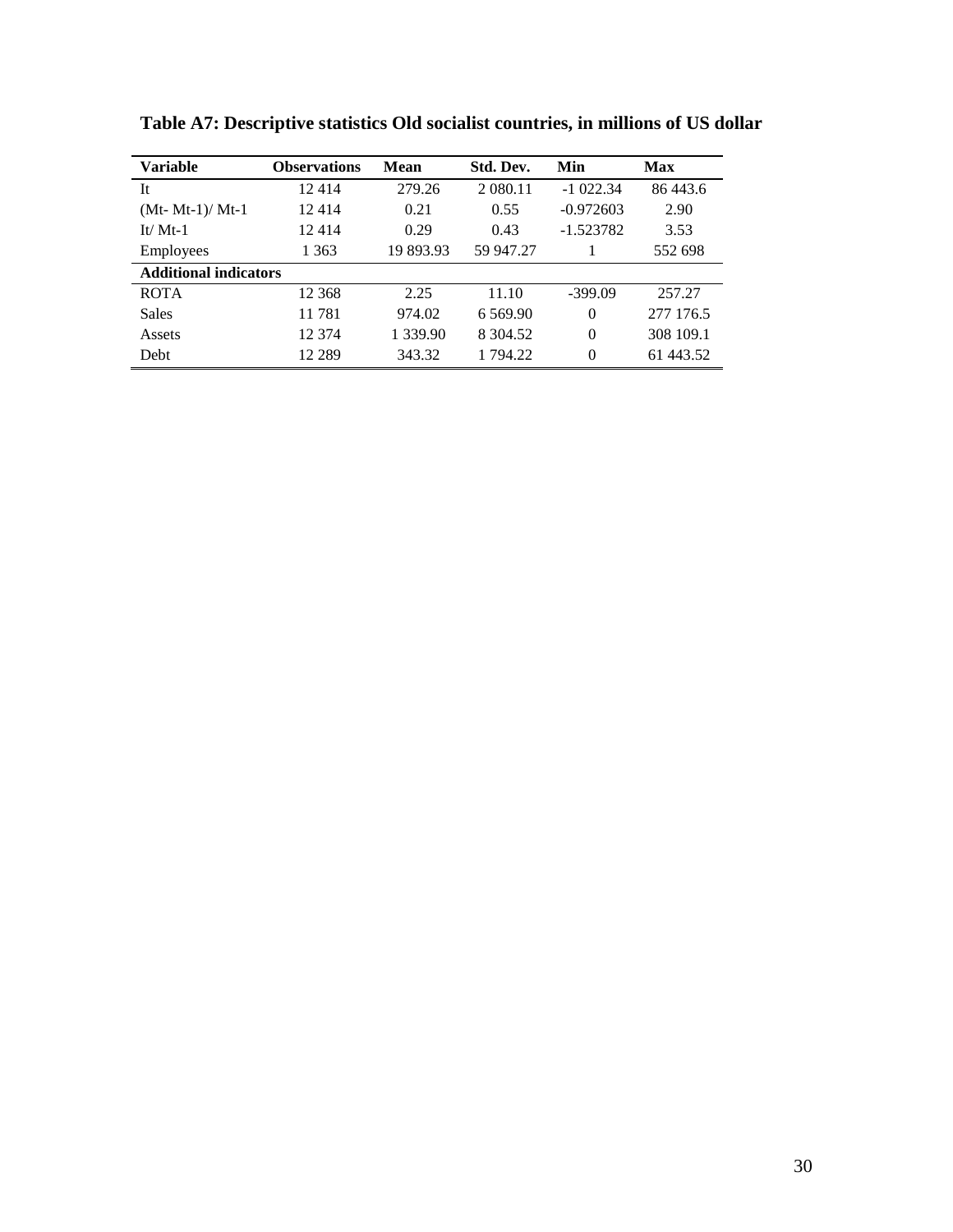| <b>Variable</b>              | <b>Observations</b> | Mean          | Std. Dev.   | Min         | <b>Max</b> |
|------------------------------|---------------------|---------------|-------------|-------------|------------|
| It                           | 12414               | 279.26        | 2 080.11    | $-1022.34$  | 86 443.6   |
| $(Mt- Mt-1)/Mt-1$            | 12414               | 0.21          | 0.55        | $-0.972603$ | 2.90       |
| It/ $Mt-1$                   | 12414               | 0.29          | 0.43        | $-1.523782$ | 3.53       |
| Employees                    | 1 363               | 19 893.93     | 59 947.27   |             | 552 698    |
| <b>Additional indicators</b> |                     |               |             |             |            |
| <b>ROTA</b>                  | 12 368              | 2.25          | 11.10       | $-399.09$   | 257.27     |
| <b>Sales</b>                 | 11781               | 974.02        | 6 5 6 9.90  | $\Omega$    | 277 176.5  |
| Assets                       | 12 374              | 1 3 3 9 . 9 0 | 8 3 0 4 5 2 | $\Omega$    | 308 109.1  |
| Debt                         | 12 289              | 343.32        | 1 794.22    | $\Omega$    | 61 443.52  |

**Table A7: Descriptive statistics Old socialist countries, in millions of US dollar**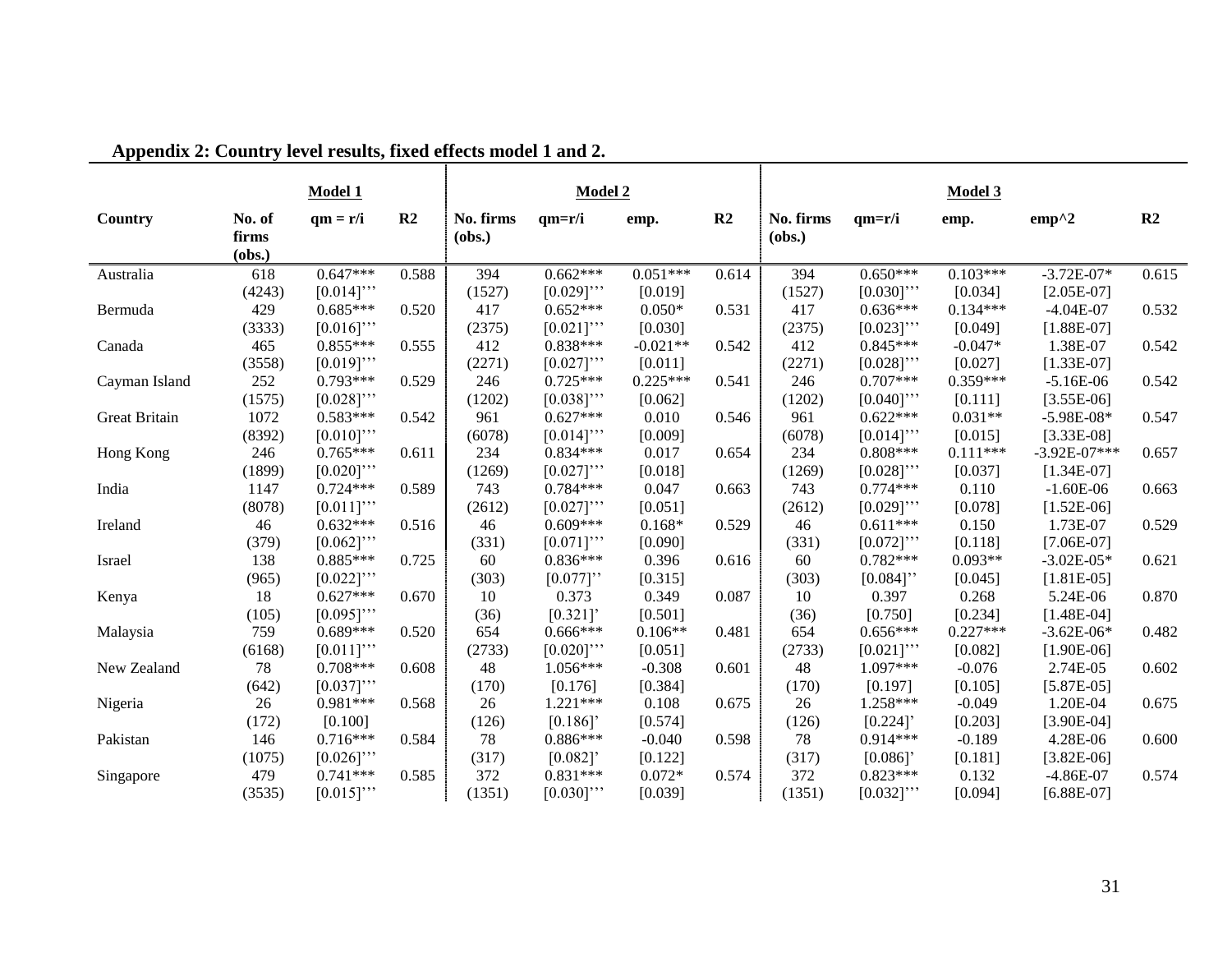|                      |                           | <b>Model 1</b> |                |                     | Model 2     |            |                |                     |             | Model 3    |                  |       |
|----------------------|---------------------------|----------------|----------------|---------------------|-------------|------------|----------------|---------------------|-------------|------------|------------------|-------|
| Country              | No. of<br>firms<br>(obs.) | $qm = r/i$     | R <sub>2</sub> | No. firms<br>(obs.) | $qm=r/i$    | emp.       | R <sub>2</sub> | No. firms<br>(obs.) | $qm=r/i$    | emp.       | $emp^2$          | R2    |
| Australia            | 618                       | $0.647***$     | 0.588          | 394                 | $0.662***$  | $0.051***$ | 0.614          | 394                 | $0.650***$  | $0.103***$ | $-3.72E - 07*$   | 0.615 |
|                      | (4243)                    | $[0.014]$ "    |                | (1527)              | $[0.029]$ " | [0.019]    |                | (1527)              | $[0.030]$ " | [0.034]    | $[2.05E-07]$     |       |
| Bermuda              | 429                       | $0.685***$     | 0.520          | 417                 | $0.652***$  | $0.050*$   | 0.531          | 417                 | $0.636***$  | $0.134***$ | $-4.04E-07$      | 0.532 |
|                      | (3333)                    | $[0.016]$ "    |                | (2375)              | $[0.021]$ " | [0.030]    |                | (2375)              | $[0.023]$ " | [0.049]    | $[1.88E-07]$     |       |
| Canada               | 465                       | $0.855***$     | 0.555          | 412                 | $0.838***$  | $-0.021**$ | 0.542          | 412                 | $0.845***$  | $-0.047*$  | 1.38E-07         | 0.542 |
|                      | (3558)                    | $[0.019]$ "    |                | (2271)              | $[0.027]$ " | [0.011]    |                | (2271)              | $[0.028]$ " | [0.027]    | $[1.33E-07]$     |       |
| Cayman Island        | 252                       | $0.793***$     | 0.529          | 246                 | $0.725***$  | $0.225***$ | 0.541          | 246                 | $0.707***$  | $0.359***$ | $-5.16E-06$      | 0.542 |
|                      | (1575)                    | $[0.028]$ "    |                | (1202)              | $[0.038]$ " | [0.062]    |                | (1202)              | $[0.040]$ " | [0.111]    | $[3.55E-06]$     |       |
| <b>Great Britain</b> | 1072                      | $0.583***$     | 0.542          | 961                 | $0.627***$  | 0.010      | 0.546          | 961                 | $0.622***$  | $0.031**$  | $-5.98E-08*$     | 0.547 |
|                      | (8392)                    | $[0.010]$ "    |                | (6078)              | $[0.014]$ " | [0.009]    |                | (6078)              | $[0.014]$ " | [0.015]    | $[3.33E-08]$     |       |
| Hong Kong            | 246                       | $0.765***$     | 0.611          | 234                 | $0.834***$  | 0.017      | 0.654          | 234                 | $0.808***$  | $0.111***$ | $-3.92E - 07***$ | 0.657 |
|                      | (1899)                    | $[0.020]$ "    |                | (1269)              | $[0.027]$ " | [0.018]    |                | (1269)              | $[0.028]$ " | [0.037]    | $[1.34E-07]$     |       |
| India                | 1147                      | $0.724***$     | 0.589          | 743                 | $0.784***$  | 0.047      | 0.663          | 743                 | $0.774***$  | 0.110      | $-1.60E-06$      | 0.663 |
|                      | (8078)                    | $[0.011]$ "    |                | (2612)              | $[0.027]$ " | [0.051]    |                | (2612)              | $[0.029]$ " | [0.078]    | $[1.52E-06]$     |       |
| Ireland              | 46                        | $0.632***$     | 0.516          | 46                  | $0.609***$  | $0.168*$   | 0.529          | 46                  | $0.611***$  | 0.150      | 1.73E-07         | 0.529 |
|                      | (379)                     | $[0.062]$ "    |                | (331)               | $[0.071]$ " | [0.090]    |                | (331)               | $[0.072]$ " | [0.118]    | $[7.06E-07]$     |       |
| Israel               | 138                       | $0.885***$     | 0.725          | 60                  | $0.836***$  | 0.396      | 0.616          | 60                  | $0.782***$  | $0.093**$  | $-3.02E - 05*$   | 0.621 |
|                      | (965)                     | $[0.022]$ "    |                | (303)               | $[0.077]$ " | [0.315]    |                | (303)               | $[0.084]$ " | [0.045]    | $[1.81E-05]$     |       |
| Kenya                | 18                        | $0.627***$     | 0.670          | 10                  | 0.373       | 0.349      | 0.087          | 10                  | 0.397       | 0.268      | 5.24E-06         | 0.870 |
|                      | (105)                     | $[0.095]$ "    |                | (36)                | [0.321]     | [0.501]    |                | (36)                | [0.750]     | [0.234]    | $[1.48E-04]$     |       |
| Malaysia             | 759                       | $0.689***$     | 0.520          | 654                 | $0.666***$  | $0.106**$  | 0.481          | 654                 | $0.656***$  | $0.227***$ | $-3.62E - 06*$   | 0.482 |
|                      | (6168)                    | $[0.011]$ "    |                | (2733)              | $[0.020]$ " | [0.051]    |                | (2733)              | $[0.021]$ " | [0.082]    | $[1.90E-06]$     |       |
| New Zealand          | 78                        | $0.708***$     | 0.608          | 48                  | $1.056***$  | $-0.308$   | 0.601          | 48                  | 1.097***    | $-0.076$   | 2.74E-05         | 0.602 |
|                      | (642)                     | $[0.037]$ "    |                | (170)               | [0.176]     | [0.384]    |                | (170)               | [0.197]     | [0.105]    | $[5.87E-05]$     |       |
| Nigeria              | 26                        | $0.981***$     | 0.568          | 26                  | $1.221***$  | 0.108      | 0.675          | 26                  | $1.258***$  | $-0.049$   | 1.20E-04         | 0.675 |
|                      | (172)                     | [0.100]        |                | (126)               | [0.186]     | [0.574]    |                | (126)               | [0.224]     | [0.203]    | $[3.90E-04]$     |       |
| Pakistan             | 146                       | $0.716***$     | 0.584          | 78                  | $0.886***$  | $-0.040$   | 0.598          | 78                  | $0.914***$  | $-0.189$   | 4.28E-06         | 0.600 |
|                      | (1075)                    | $[0.026]$ "    |                | (317)               | [0.082]     | [0.122]    |                | (317)               | [0.086]     | [0.181]    | $[3.82E-06]$     |       |
| Singapore            | 479                       | $0.741***$     | 0.585          | 372                 | $0.831***$  | $0.072*$   | 0.574          | 372                 | $0.823***$  | 0.132      | $-4.86E-07$      | 0.574 |
|                      | (3535)                    | $[0.015]$ "    |                | (1351)              | $[0.030]$ " | [0.039]    |                | (1351)              | $[0.032]$ " | [0.094]    | $[6.88E-07]$     |       |

**Appendix 2: Country level results, fixed effects model 1 and 2.**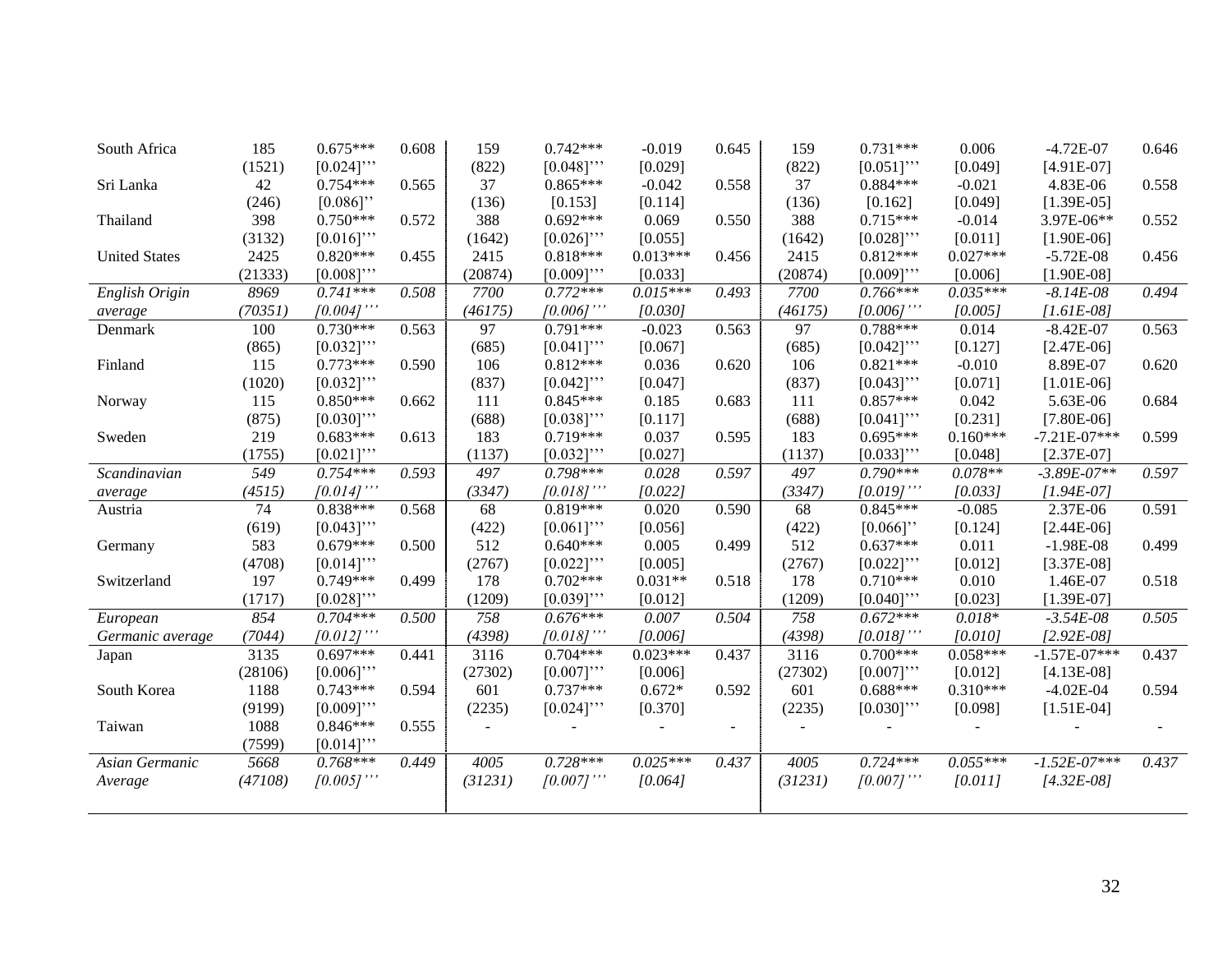| South Africa         | 185     | $0.675***$    | 0.608 | 159     | $0.742***$    | $-0.019$   | 0.645 | 159             | $0.731***$    | 0.006      | $-4.72E-07$      | 0.646 |
|----------------------|---------|---------------|-------|---------|---------------|------------|-------|-----------------|---------------|------------|------------------|-------|
|                      | (1521)  | $[0.024]$ "   |       | (822)   | $[0.048]$ "   | [0.029]    |       | (822)           | $[0.051]$ "   | [0.049]    | $[4.91E-07]$     |       |
| Sri Lanka            | 42      | $0.754***$    | 0.565 | 37      | $0.865***$    | $-0.042$   | 0.558 | 37              | $0.884***$    | $-0.021$   | 4.83E-06         | 0.558 |
|                      | (246)   | $[0.086]$ "   |       | (136)   | [0.153]       | [0.114]    |       | (136)           | [0.162]       | [0.049]    | $[1.39E-05]$     |       |
| Thailand             | 398     | $0.750***$    | 0.572 | 388     | $0.692***$    | 0.069      | 0.550 | 388             | $0.715***$    | $-0.014$   | 3.97E-06**       | 0.552 |
|                      | (3132)  | $[0.016]$ "   |       | (1642)  | $[0.026]$ "   | [0.055]    |       | (1642)          | $[0.028]$ "   | [0.011]    | $[1.90E-06]$     |       |
| <b>United States</b> | 2425    | $0.820***$    | 0.455 | 2415    | $0.818***$    | $0.013***$ | 0.456 | 2415            | $0.812***$    | $0.027***$ | $-5.72E-08$      | 0.456 |
|                      | (21333) | $[0.008]$ "   |       | (20874) | $[0.009]$ "   | [0.033]    |       | (20874)         | $[0.009]$ "   | [0.006]    | $[1.90E-08]$     |       |
| English Origin       | 8969    | $0.741***$    | 0.508 | 7700    | $0.772***$    | $0.015***$ | 0.493 | 7700            | $0.766***$    | $0.035***$ | $-8.14E-08$      | 0.494 |
| average              | (70351) | $[0.004]$ ''' |       | (46175) | $[0.006]$ "   | [0.030]    |       | (46175)         | $[0.006]$ "   | [0.005]    | $[1.61E-08]$     |       |
| Denmark              | 100     | $0.730***$    | 0.563 | 97      | $0.791***$    | $-0.023$   | 0.563 | $\overline{97}$ | $0.788***$    | 0.014      | $-8.42E-07$      | 0.563 |
|                      | (865)   | $[0.032]$ "   |       | (685)   | $[0.041]$ "   | [0.067]    |       | (685)           | $[0.042]$ "   | [0.127]    | $[2.47E-06]$     |       |
| Finland              | 115     | $0.773***$    | 0.590 | 106     | $0.812***$    | 0.036      | 0.620 | 106             | $0.821***$    | $-0.010$   | 8.89E-07         | 0.620 |
|                      | (1020)  | $[0.032]$ "   |       | (837)   | $[0.042]$ "   | [0.047]    |       | (837)           | $[0.043]$ "   | [0.071]    | $[1.01E-06]$     |       |
| Norway               | 115     | $0.850***$    | 0.662 | 111     | $0.845***$    | 0.185      | 0.683 | 111             | $0.857***$    | 0.042      | 5.63E-06         | 0.684 |
|                      | (875)   | $[0.030]$ "   |       | (688)   | $[0.038]$ "   | [0.117]    |       | (688)           | $[0.041]$ "   | [0.231]    | $[7.80E-06]$     |       |
| Sweden               | 219     | $0.683***$    | 0.613 | 183     | $0.719***$    | 0.037      | 0.595 | 183             | $0.695***$    | $0.160***$ | $-7.21E - 07***$ | 0.599 |
|                      | (1755)  | $[0.021]$ "   |       | (1137)  | $[0.032]$ "   | [0.027]    |       | (1137)          | $[0.033]$ "   | [0.048]    | $[2.37E-07]$     |       |
| Scandinavian         | 549     | $0.754***$    | 0.593 | 497     | $0.798***$    | 0.028      | 0.597 | 497             | $0.790***$    | $0.078**$  | $-3.89E - 07**$  | 0.597 |
| average              | (4515)  | $[0.014]$ ''' |       | (3347)  | $[0.018]$ ''' | [0.022]    |       | (3347)          | $[0.019]$ ''' | [0.033]    | $[1.94E-07]$     |       |
| Austria              | 74      | $0.838***$    | 0.568 | 68      | $0.819***$    | 0.020      | 0.590 | 68              | $0.845***$    | $-0.085$   | 2.37E-06         | 0.591 |
|                      | (619)   | $[0.043]$ "   |       | (422)   | $[0.061]$ "   | [0.056]    |       | (422)           | $[0.066]$ "   | [0.124]    | $[2.44E-06]$     |       |
| Germany              | 583     | $0.679***$    | 0.500 | 512     | $0.640***$    | 0.005      | 0.499 | 512             | $0.637***$    | 0.011      | $-1.98E-08$      | 0.499 |
|                      | (4708)  | $[0.014]$ "   |       | (2767)  | $[0.022]$ "   | [0.005]    |       | (2767)          | $[0.022]$ "   | [0.012]    | $[3.37E-08]$     |       |
| Switzerland          | 197     | $0.749***$    | 0.499 | 178     | $0.702***$    | $0.031**$  | 0.518 | 178             | $0.710***$    | 0.010      | 1.46E-07         | 0.518 |
|                      | (1717)  | $[0.028]$ "   |       | (1209)  | $[0.039]$ "   | [0.012]    |       | (1209)          | $[0.040]$ "   | [0.023]    | $[1.39E-07]$     |       |
| European             | 854     | $0.704***$    | 0.500 | 758     | $0.676***$    | 0.007      | 0.504 | 758             | $0.672***$    | $0.018*$   | $-3.54E-08$      | 0.505 |
| Germanic average     | (7044)  | $[0.012]$ ''' |       | (4398)  | $[0.018]$ ''' | [0.006]    |       | (4398)          | $[0.018]$ "   | [0.010]    | $[2.92E-08]$     |       |
| Japan                | 3135    | $0.697***$    | 0.441 | 3116    | $0.704***$    | $0.023***$ | 0.437 | 3116            | $0.700***$    | $0.058***$ | $-1.57E-07***$   | 0.437 |
|                      | (28106) | $[0.006]$ "   |       | (27302) | $[0.007]$ "   | [0.006]    |       | (27302)         | $[0.007]$ "   | [0.012]    | $[4.13E-08]$     |       |
| South Korea          | 1188    | $0.743***$    | 0.594 | 601     | $0.737***$    | $0.672*$   | 0.592 | 601             | $0.688***$    | $0.310***$ | $-4.02E-04$      | 0.594 |
|                      | (9199)  | $[0.009]$ "   |       | (2235)  | $[0.024]$ "   | [0.370]    |       | (2235)          | $[0.030]$ "   | [0.098]    | $[1.51E-04]$     |       |
| Taiwan               | 1088    | $0.846***$    | 0.555 |         |               |            |       |                 |               |            |                  |       |
|                      | (7599)  | $[0.014]$ "   |       |         |               |            |       |                 |               |            |                  |       |
| Asian Germanic       | 5668    | $0.768***$    | 0.449 | 4005    | $0.728***$    | $0.025***$ | 0.437 | 4005            | $0.724***$    | $0.055***$ | $-1.52E - 07**$  | 0.437 |
| Average              | (47108) | $[0.005]$ "'  |       | (31231) | $[0.007]$ "   | [0.064]    |       | (31231)         | $[0.007]$ "'  | [0.011]    | $[4.32E-08]$     |       |
|                      |         |               |       |         |               |            |       |                 |               |            |                  |       |
|                      |         |               |       |         |               |            |       |                 |               |            |                  |       |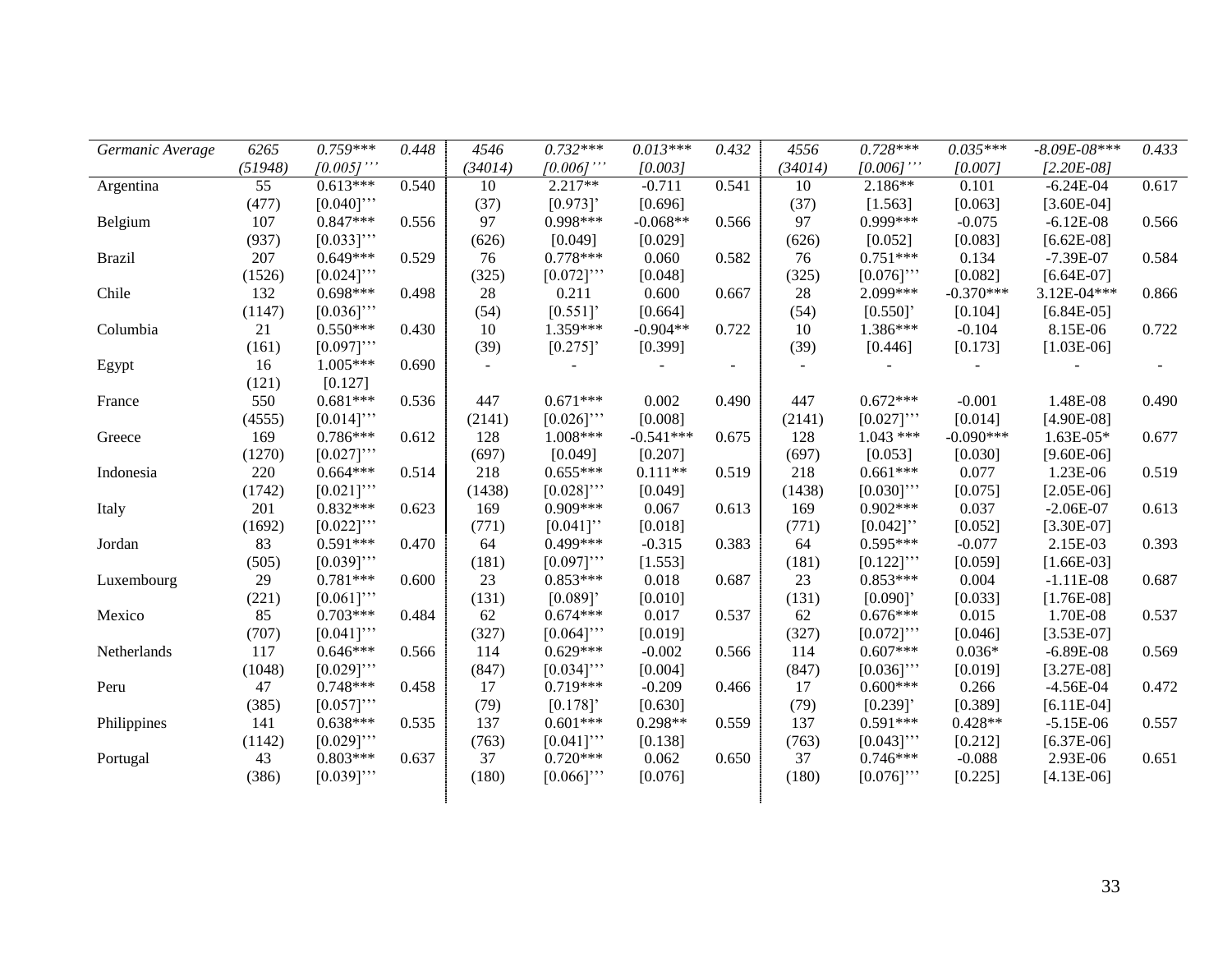| Germanic Average | 6265    | $0.759***$   | 0.448 | 4546    | $0.732***$  | $0.013***$  | 0.432  | 4556    | $0.728***$  | $0.035***$  | $-8.09E - 08***$ | 0.433 |
|------------------|---------|--------------|-------|---------|-------------|-------------|--------|---------|-------------|-------------|------------------|-------|
|                  | (51948) | $[0.005]$ "' |       | (34014) | $[0.006]$ " | [0.003]     |        | (34014) | [0.006]'    | [0.007]     | $[2.20E-08]$     |       |
| Argentina        | 55      | $0.613***$   | 0.540 | 10      | 2.217**     | $-0.711$    | 0.541  | 10      | $2.186**$   | 0.101       | $-6.24E-04$      | 0.617 |
|                  | (477)   | $[0.040]$ "  |       | (37)    | [0.973]     | [0.696]     |        | (37)    | [1.563]     | [0.063]     | $[3.60E-04]$     |       |
| Belgium          | 107     | $0.847***$   | 0.556 | 97      | 0.998***    | $-0.068**$  | 0.566  | 97      | $0.999***$  | $-0.075$    | $-6.12E-08$      | 0.566 |
|                  | (937)   | $[0.033]$ "  |       | (626)   | [0.049]     | [0.029]     |        | (626)   | [0.052]     | [0.083]     | $[6.62E-08]$     |       |
| <b>Brazil</b>    | 207     | $0.649***$   | 0.529 | 76      | $0.778***$  | 0.060       | 0.582  | 76      | $0.751***$  | 0.134       | $-7.39E - 07$    | 0.584 |
|                  | (1526)  | $[0.024]$ "  |       | (325)   | $[0.072]$ " | [0.048]     |        | (325)   | $[0.076]$ " | [0.082]     | $[6.64E-07]$     |       |
| Chile            | 132     | $0.698***$   | 0.498 | 28      | 0.211       | 0.600       | 0.667  | 28      | 2.099***    | $-0.370***$ | 3.12E-04***      | 0.866 |
|                  | (1147)  | $[0.036]$ "  |       | (54)    | [0.551]     | [0.664]     |        | (54)    | [0.550]     | [0.104]     | $[6.84E-05]$     |       |
| Columbia         | 21      | $0.550***$   | 0.430 | 10      | 1.359***    | $-0.904**$  | 0.722  | 10      | 1.386***    | $-0.104$    | 8.15E-06         | 0.722 |
|                  | (161)   | $[0.097]$ "  |       | (39)    | [0.275]     | [0.399]     |        | (39)    | [0.446]     | [0.173]     | $[1.03E-06]$     |       |
| Egypt            | 16      | $1.005***$   | 0.690 | $\sim$  |             |             | $\sim$ |         |             |             |                  |       |
|                  | (121)   | [0.127]      |       |         |             |             |        |         |             |             |                  |       |
| France           | 550     | $0.681***$   | 0.536 | 447     | $0.671***$  | 0.002       | 0.490  | 447     | $0.672***$  | $-0.001$    | 1.48E-08         | 0.490 |
|                  | (4555)  | $[0.014]$ "  |       | (2141)  | $[0.026]$ " | [0.008]     |        | (2141)  | $[0.027]$ " | [0.014]     | $[4.90E-08]$     |       |
| Greece           | 169     | $0.786***$   | 0.612 | 128     | $1.008***$  | $-0.541***$ | 0.675  | 128     | $1.043$ *** | $-0.090***$ | $1.63E-05*$      | 0.677 |
|                  | (1270)  | $[0.027]$ "  |       | (697)   | [0.049]     | [0.207]     |        | (697)   | [0.053]     | [0.030]     | $[9.60E-06]$     |       |
| Indonesia        | 220     | $0.664***$   | 0.514 | 218     | $0.655***$  | $0.111**$   | 0.519  | 218     | $0.661***$  | 0.077       | 1.23E-06         | 0.519 |
|                  | (1742)  | $[0.021]$ "  |       | (1438)  | $[0.028]$ " | [0.049]     |        | (1438)  | $[0.030]$ " | [0.075]     | $[2.05E-06]$     |       |
| Italy            | 201     | $0.832***$   | 0.623 | 169     | $0.909***$  | 0.067       | 0.613  | 169     | $0.902***$  | 0.037       | $-2.06E-07$      | 0.613 |
|                  | (1692)  | $[0.022]$ "  |       | (771)   | $[0.041]$ " | [0.018]     |        | (771)   | $[0.042]$ " | [0.052]     | $[3.30E-07]$     |       |
| Jordan           | 83      | $0.591***$   | 0.470 | 64      | $0.499***$  | $-0.315$    | 0.383  | 64      | $0.595***$  | $-0.077$    | 2.15E-03         | 0.393 |
|                  | (505)   | $[0.039]$ "  |       | (181)   | $[0.097]$ " | [1.553]     |        | (181)   | $[0.122]$ " | [0.059]     | $[1.66E-03]$     |       |
| Luxembourg       | 29      | $0.781***$   | 0.600 | 23      | $0.853***$  | 0.018       | 0.687  | 23      | $0.853***$  | 0.004       | $-1.11E-08$      | 0.687 |
|                  | (221)   | $[0.061]$ "  |       | (131)   | [0.089]     | [0.010]     |        | (131)   | [0.090]     | [0.033]     | $[1.76E-08]$     |       |
| Mexico           | 85      | $0.703***$   | 0.484 | 62      | $0.674***$  | 0.017       | 0.537  | 62      | $0.676***$  | 0.015       | 1.70E-08         | 0.537 |
|                  | (707)   | $[0.041]$ "  |       | (327)   | $[0.064]$ " | [0.019]     |        | (327)   | $[0.072]$ " | [0.046]     | $[3.53E-07]$     |       |
| Netherlands      | 117     | $0.646***$   | 0.566 | 114     | $0.629***$  | $-0.002$    | 0.566  | 114     | $0.607***$  | $0.036*$    | $-6.89E-08$      | 0.569 |
|                  | (1048)  | $[0.029]$ "  |       | (847)   | $[0.034]$ " | [0.004]     |        | (847)   | $[0.036]$ " | [0.019]     | $[3.27E-08]$     |       |
| Peru             | 47      | $0.748***$   | 0.458 | 17      | $0.719***$  | $-0.209$    | 0.466  | 17      | $0.600***$  | 0.266       | $-4.56E-04$      | 0.472 |
|                  | (385)   | $[0.057]$ "  |       | (79)    | [0.178]     | [0.630]     |        | (79)    | [0.239]     | [0.389]     | $[6.11E-04]$     |       |
| Philippines      | 141     | $0.638***$   | 0.535 | 137     | $0.601***$  | 0.298**     | 0.559  | 137     | $0.591***$  | $0.428**$   | $-5.15E-06$      | 0.557 |
|                  | (1142)  | $[0.029]$ "  |       | (763)   | $[0.041]$ " | [0.138]     |        | (763)   | $[0.043]$ " | [0.212]     | $[6.37E-06]$     |       |
| Portugal         | 43      | $0.803***$   | 0.637 | 37      | $0.720***$  | 0.062       | 0.650  | 37      | $0.746***$  | $-0.088$    | 2.93E-06         | 0.651 |
|                  | (386)   | $[0.039]$ "  |       | (180)   | $[0.066]$ " | [0.076]     |        | (180)   | $[0.076]$ " | [0.225]     | $[4.13E-06]$     |       |
|                  |         |              |       |         |             |             |        |         |             |             |                  |       |